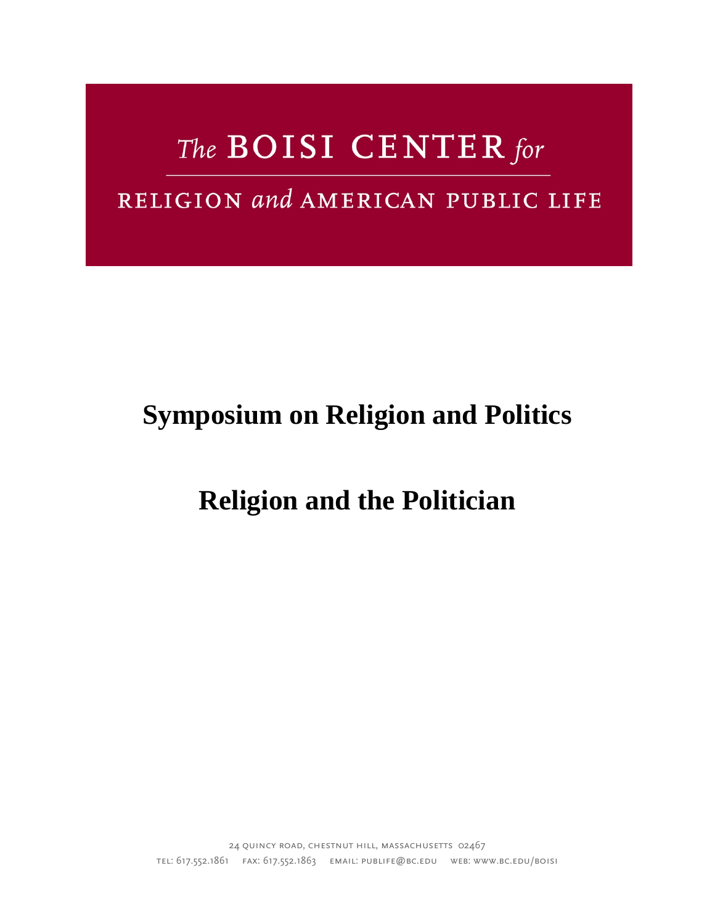# The BOISI CENTER for

# RELIGION and AMERICAN PUBLIC LIFE

# **Symposium on Religion and Politics**

# **Religion and the Politician**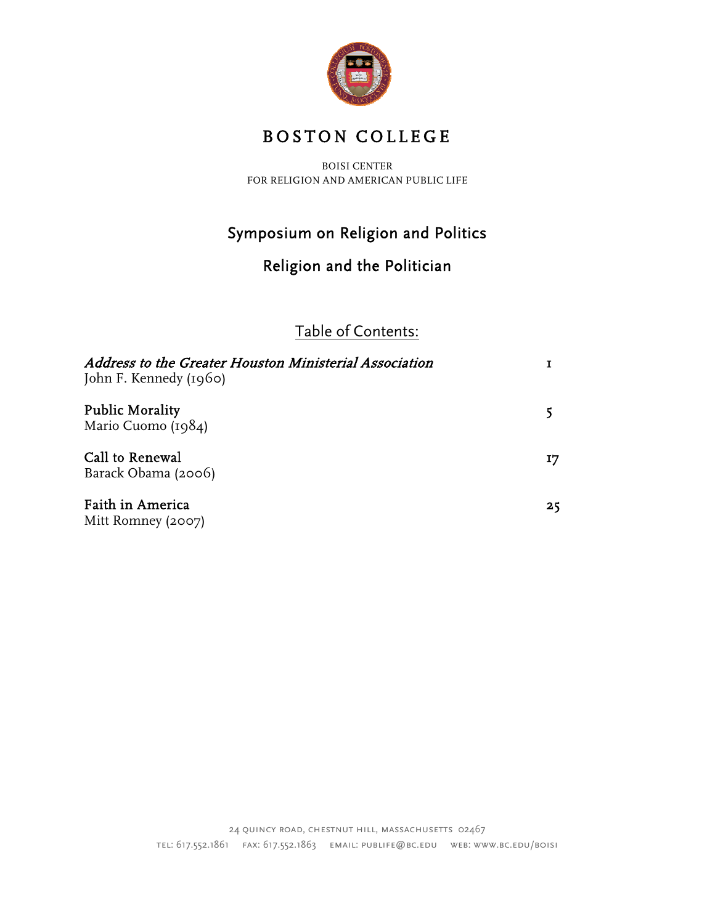

## BOSTON COLLEGE

BOISI CENTER FOR RELIGION AND AMERICAN PUBLIC LIFE

## Symposium on Religion and Politics

## Religion and the Politician

Table of Contents:

| Address to the Greater Houston Ministerial Association<br>John F. Kennedy (1960) |    |
|----------------------------------------------------------------------------------|----|
| <b>Public Morality</b><br>Mario Cuomo (1984)                                     |    |
| Call to Renewal<br>Barack Obama (2006)                                           | 17 |
| Faith in America<br>Mitt Romney (2007)                                           | 25 |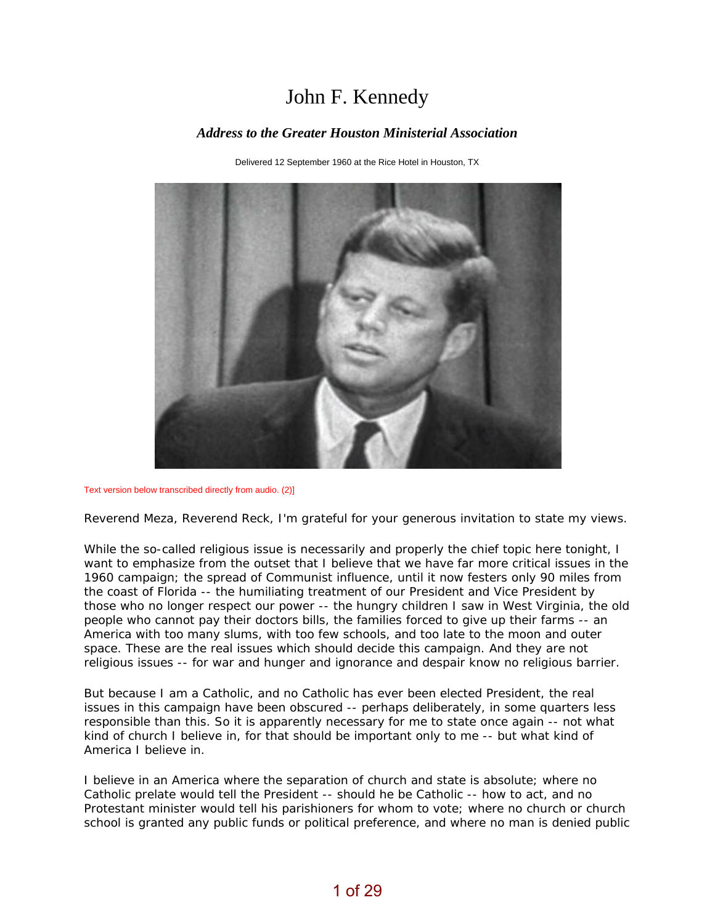# John F. Kennedy

### *Address to the Greater Houston Ministerial Association*

Delivered 12 September 1960 at the Rice Hotel in Houston, TX



Text version below transcribed directly from audio. (2)]

Reverend Meza, Reverend Reck, I'm grateful for your generous invitation to state my views.

While the so-called religious issue is necessarily and properly the chief topic here tonight, I want to emphasize from the outset that I believe that we have far more critical issues in the 1960 campaign; the spread of Communist influence, until it now festers only 90 miles from the coast of Florida -- the humiliating treatment of our President and Vice President by those who no longer respect our power -- the hungry children I saw in West Virginia, the old people who cannot pay their doctors bills, the families forced to give up their farms -- an America with too many slums, with too few schools, and too late to the moon and outer space. These are the real issues which should decide this campaign. And they are not religious issues -- for war and hunger and ignorance and despair know no religious barrier.

But because I am a Catholic, and no Catholic has ever been elected President, the real issues in this campaign have been obscured -- perhaps deliberately, in some quarters less responsible than this. So it is apparently necessary for me to state once again -- not what kind of church I believe in, for that should be important only to me -- but what kind of America I believe in.

I believe in an America where the separation of church and state is absolute; where no Catholic prelate would tell the President -- should he be Catholic -- how to act, and no Protestant minister would tell his parishioners for whom to vote; where no church or church school is granted any public funds or political preference, and where no man is denied public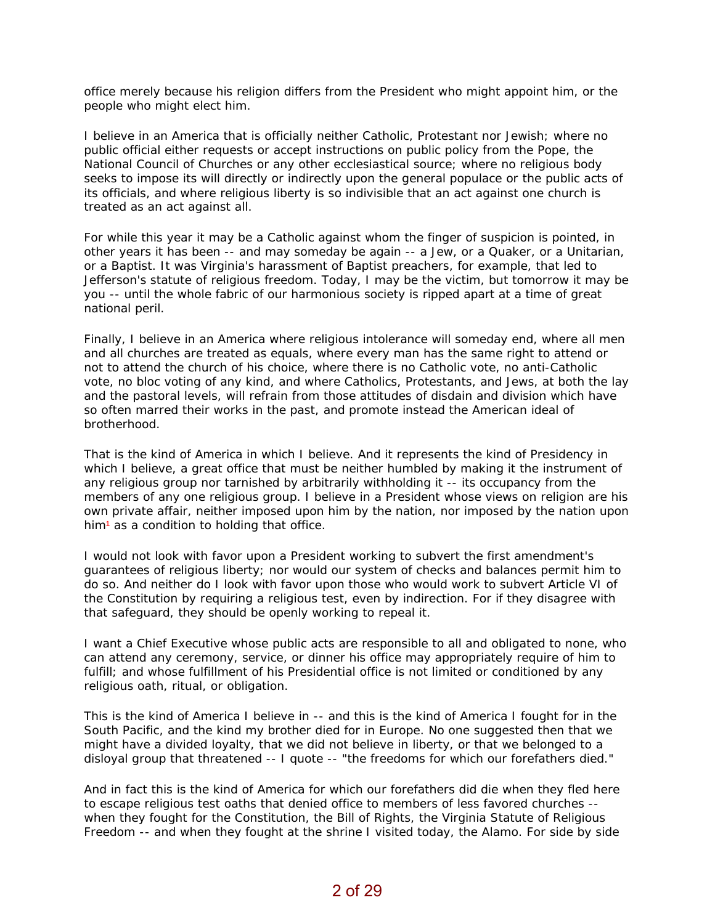office merely because his religion differs from the President who might appoint him, or the people who might elect him.

I believe in an America that is officially neither Catholic, Protestant nor Jewish; where no public official either requests or accept instructions on public policy from the Pope, the National Council of Churches or any other ecclesiastical source; where no religious body seeks to impose its will directly or indirectly upon the general populace or the public acts of its officials, and where religious liberty is so indivisible that an act against one church is treated as an act against all.

For while this year it may be a Catholic against whom the finger of suspicion is pointed, in other years it has been -- and may someday be again -- a Jew, or a Quaker, or a Unitarian, or a Baptist. It was Virginia's harassment of Baptist preachers, for example, that led to Jefferson's statute of religious freedom. Today, I may be the victim, but tomorrow it may be you -- until the whole fabric of our harmonious society is ripped apart at a time of great national peril.

Finally, I believe in an America where religious intolerance will someday end, where all men and all churches are treated as equals, where every man has the same right to attend or not to attend the church of his choice, where there is no Catholic vote, no anti-Catholic vote, no bloc voting of any kind, and where Catholics, Protestants, and Jews, at both the lay and the pastoral levels, will refrain from those attitudes of disdain and division which have so often marred their works in the past, and promote instead the American ideal of brotherhood.

That is the kind of America in which I believe. And it represents the kind of Presidency in which I believe, a great office that must be neither humbled by making it the instrument of any religious group nor tarnished by arbitrarily withholding it -- its occupancy from the members of any one religious group. I believe in a President whose views on religion are his own private affair, neither imposed upon him by the nation, nor imposed by the nation upon  $him<sup>1</sup>$  as a condition to holding that office.

I would not look with favor upon a President working to subvert the first amendment's guarantees of religious liberty; nor would our system of checks and balances permit him to do so. And neither do I look with favor upon those who would work to subvert Article VI of the Constitution by requiring a religious test, even by indirection. For if they disagree with that safeguard, they should be openly working to repeal it.

I want a Chief Executive whose public acts are responsible to all and obligated to none, who can attend any ceremony, service, or dinner his office may appropriately require of him to fulfill; and whose fulfillment of his Presidential office is not limited or conditioned by any religious oath, ritual, or obligation.

This is the kind of America I believe in -- and this is the kind of America I fought for in the South Pacific, and the kind my brother died for in Europe. No one suggested then that we might have a divided loyalty, that we did not believe in liberty, or that we belonged to a disloyal group that threatened -- I quote -- "the freedoms for which our forefathers died."

And in fact this is the kind of America for which our forefathers did die when they fled here to escape religious test oaths that denied office to members of less favored churches - when they fought for the Constitution, the Bill of Rights, the Virginia Statute of Religious Freedom -- and when they fought at the shrine I visited today, the Alamo. For side by side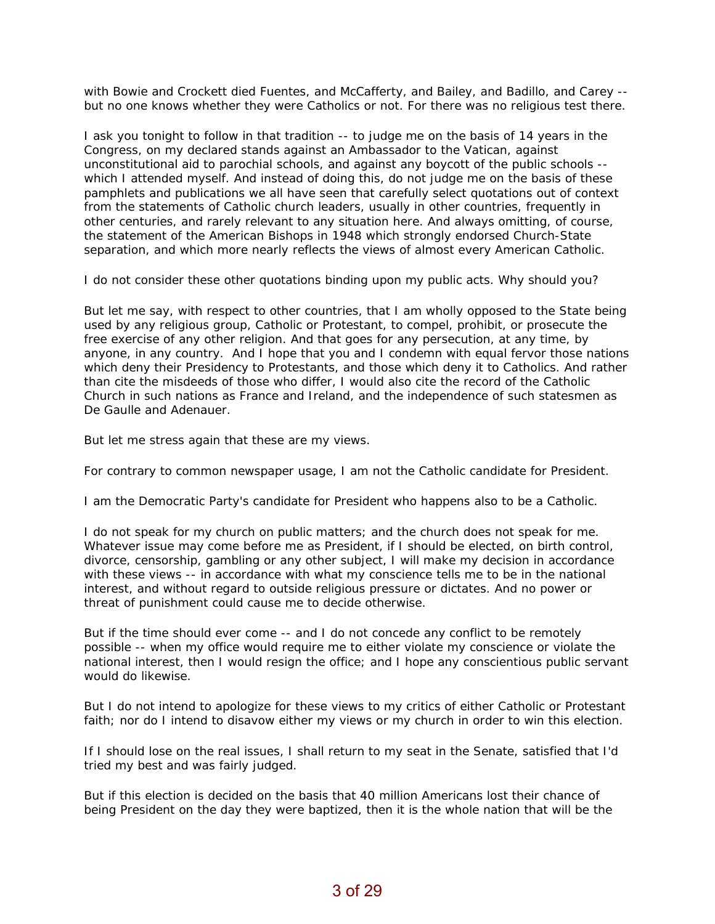with Bowie and Crockett died Fuentes, and McCafferty, and Bailey, and Badillo, and Carey - but no one knows whether they were Catholics or not. For there was no religious test there.

I ask you tonight to follow in that tradition -- to judge me on the basis of 14 years in the Congress, on my declared stands against an Ambassador to the Vatican, against unconstitutional aid to parochial schools, and against any boycott of the public schools - which I attended myself. And instead of doing this, do not judge me on the basis of these pamphlets and publications we all have seen that carefully select quotations out of context from the statements of Catholic church leaders, usually in other countries, frequently in other centuries, and rarely relevant to any situation here. And always omitting, of course, the statement of the American Bishops in 1948 which strongly endorsed Church-State separation, and which more nearly reflects the views of almost every American Catholic.

I do not consider these other quotations binding upon my public acts. Why should you?

But let me say, with respect to other countries, that I am wholly opposed to the State being used by any religious group, Catholic or Protestant, to compel, prohibit, or prosecute the free exercise of any other religion. And that goes for any persecution, at any time, by anyone, in any country. And I hope that you and I condemn with equal fervor those nations which deny their Presidency to Protestants, and those which deny it to Catholics. And rather than cite the misdeeds of those who differ, I would also cite the record of the Catholic Church in such nations as France and Ireland, and the independence of such statesmen as De Gaulle and Adenauer.

But let me stress again that these are my views.

For contrary to common newspaper usage, I am not the Catholic candidate for President.

I am the Democratic Party's candidate for President who happens also to be a Catholic.

I do not speak for my church on public matters; and the church does not speak for me. Whatever issue may come before me as President, if I should be elected, on birth control, divorce, censorship, gambling or any other subject, I will make my decision in accordance with these views -- in accordance with what my conscience tells me to be in the national interest, and without regard to outside religious pressure or dictates. And no power or threat of punishment could cause me to decide otherwise.

But if the time should ever come -- and I do not concede any conflict to be remotely possible -- when my office would require me to either violate my conscience or violate the national interest, then I would resign the office; and I hope any conscientious public servant would do likewise.

But I do not intend to apologize for these views to my critics of either Catholic or Protestant faith; nor do I intend to disavow either my views or my church in order to win this election.

If I should lose on the real issues, I shall return to my seat in the Senate, satisfied that I'd tried my best and was fairly judged.

But if this election is decided on the basis that 40 million Americans lost their chance of being President on the day they were baptized, then it is the whole nation that will be the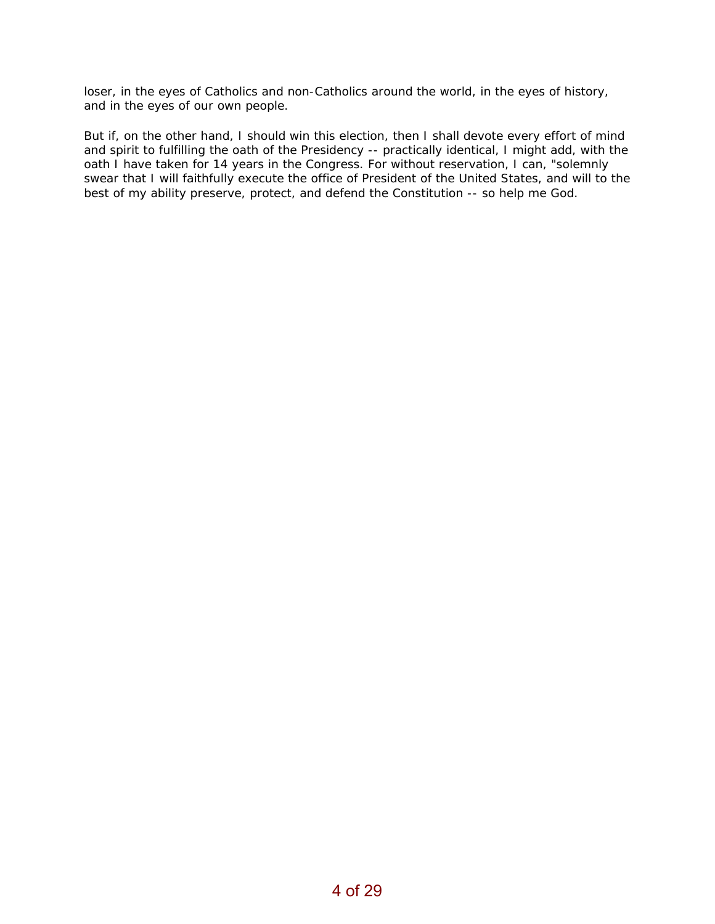loser, in the eyes of Catholics and non-Catholics around the world, in the eyes of history, and in the eyes of our own people.

But if, on the other hand, I should win this election, then I shall devote every effort of mind and spirit to fulfilling the oath of the Presidency -- practically identical, I might add, with the oath I have taken for 14 years in the Congress. For without reservation, I can, "solemnly swear that I will faithfully execute the office of President of the United States, and will to the best of my ability preserve, protect, and defend the Constitution -- so help me God.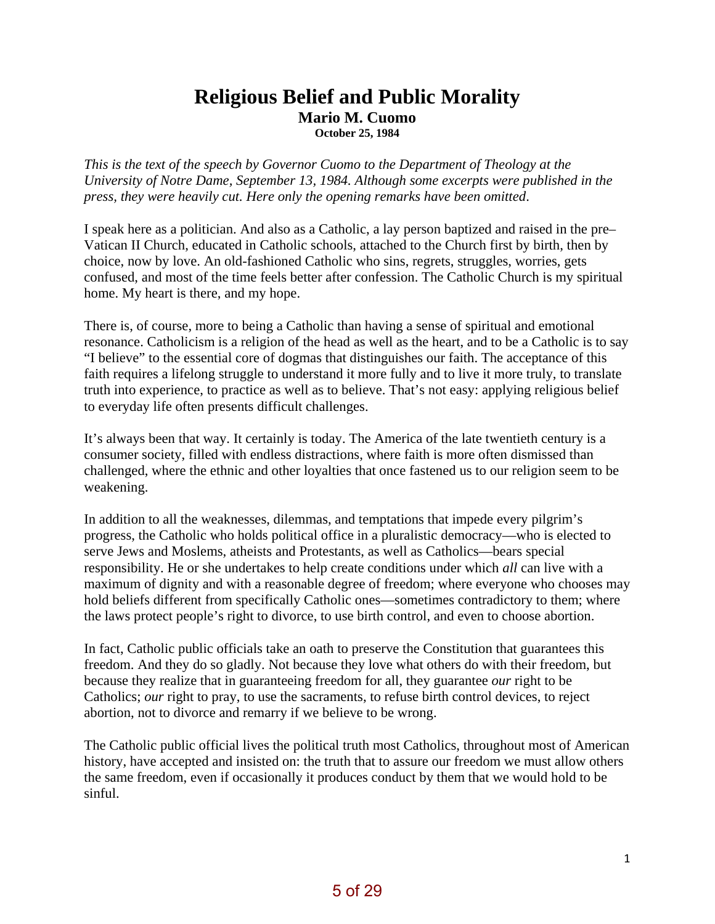### **Religious Belief and Public Morality Mario M. Cuomo October 25, 1984**

*This is the text of the speech by Governor Cuomo to the Department of Theology at the University of Notre Dame, September 13, 1984. Although some excerpts were published in the press, they were heavily cut. Here only the opening remarks have been omitted*.

I speak here as a politician. And also as a Catholic, a lay person baptized and raised in the pre– Vatican II Church, educated in Catholic schools, attached to the Church first by birth, then by choice, now by love. An old-fashioned Catholic who sins, regrets, struggles, worries, gets confused, and most of the time feels better after confession. The Catholic Church is my spiritual home. My heart is there, and my hope.

There is, of course, more to being a Catholic than having a sense of spiritual and emotional resonance. Catholicism is a religion of the head as well as the heart, and to be a Catholic is to say "I believe" to the essential core of dogmas that distinguishes our faith. The acceptance of this faith requires a lifelong struggle to understand it more fully and to live it more truly, to translate truth into experience, to practice as well as to believe. That's not easy: applying religious belief to everyday life often presents difficult challenges.

It's always been that way. It certainly is today. The America of the late twentieth century is a consumer society, filled with endless distractions, where faith is more often dismissed than challenged, where the ethnic and other loyalties that once fastened us to our religion seem to be weakening.

In addition to all the weaknesses, dilemmas, and temptations that impede every pilgrim's progress, the Catholic who holds political office in a pluralistic democracy—who is elected to serve Jews and Moslems, atheists and Protestants, as well as Catholics—bears special responsibility. He or she undertakes to help create conditions under which *all* can live with a maximum of dignity and with a reasonable degree of freedom; where everyone who chooses may hold beliefs different from specifically Catholic ones—sometimes contradictory to them; where the laws protect people's right to divorce, to use birth control, and even to choose abortion.

In fact, Catholic public officials take an oath to preserve the Constitution that guarantees this freedom. And they do so gladly. Not because they love what others do with their freedom, but because they realize that in guaranteeing freedom for all, they guarantee *our* right to be Catholics; *our* right to pray, to use the sacraments, to refuse birth control devices, to reject abortion, not to divorce and remarry if we believe to be wrong.

The Catholic public official lives the political truth most Catholics, throughout most of American history, have accepted and insisted on: the truth that to assure our freedom we must allow others the same freedom, even if occasionally it produces conduct by them that we would hold to be sinful.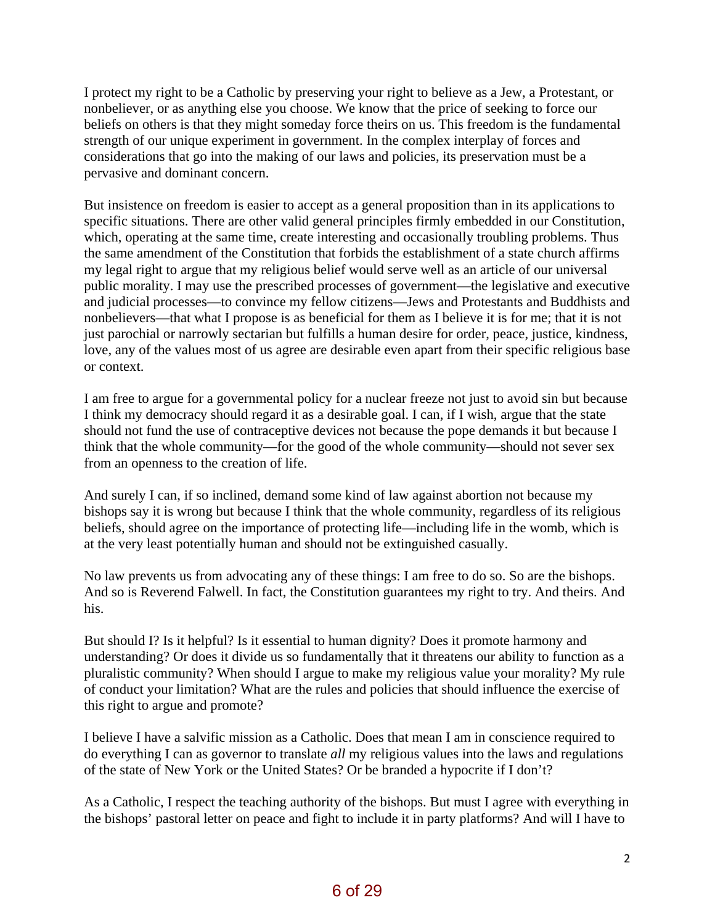I protect my right to be a Catholic by preserving your right to believe as a Jew, a Protestant, or nonbeliever, or as anything else you choose. We know that the price of seeking to force our beliefs on others is that they might someday force theirs on us. This freedom is the fundamental strength of our unique experiment in government. In the complex interplay of forces and considerations that go into the making of our laws and policies, its preservation must be a pervasive and dominant concern.

But insistence on freedom is easier to accept as a general proposition than in its applications to specific situations. There are other valid general principles firmly embedded in our Constitution, which, operating at the same time, create interesting and occasionally troubling problems. Thus the same amendment of the Constitution that forbids the establishment of a state church affirms my legal right to argue that my religious belief would serve well as an article of our universal public morality. I may use the prescribed processes of government—the legislative and executive and judicial processes—to convince my fellow citizens—Jews and Protestants and Buddhists and nonbelievers—that what I propose is as beneficial for them as I believe it is for me; that it is not just parochial or narrowly sectarian but fulfills a human desire for order, peace, justice, kindness, love, any of the values most of us agree are desirable even apart from their specific religious base or context.

I am free to argue for a governmental policy for a nuclear freeze not just to avoid sin but because I think my democracy should regard it as a desirable goal. I can, if I wish, argue that the state should not fund the use of contraceptive devices not because the pope demands it but because I think that the whole community—for the good of the whole community—should not sever sex from an openness to the creation of life.

And surely I can, if so inclined, demand some kind of law against abortion not because my bishops say it is wrong but because I think that the whole community, regardless of its religious beliefs, should agree on the importance of protecting life—including life in the womb, which is at the very least potentially human and should not be extinguished casually.

No law prevents us from advocating any of these things: I am free to do so. So are the bishops. And so is Reverend Falwell. In fact, the Constitution guarantees my right to try. And theirs. And his.

But should I? Is it helpful? Is it essential to human dignity? Does it promote harmony and understanding? Or does it divide us so fundamentally that it threatens our ability to function as a pluralistic community? When should I argue to make my religious value your morality? My rule of conduct your limitation? What are the rules and policies that should influence the exercise of this right to argue and promote?

I believe I have a salvific mission as a Catholic. Does that mean I am in conscience required to do everything I can as governor to translate *all* my religious values into the laws and regulations of the state of New York or the United States? Or be branded a hypocrite if I don't?

As a Catholic, I respect the teaching authority of the bishops. But must I agree with everything in the bishops' pastoral letter on peace and fight to include it in party platforms? And will I have to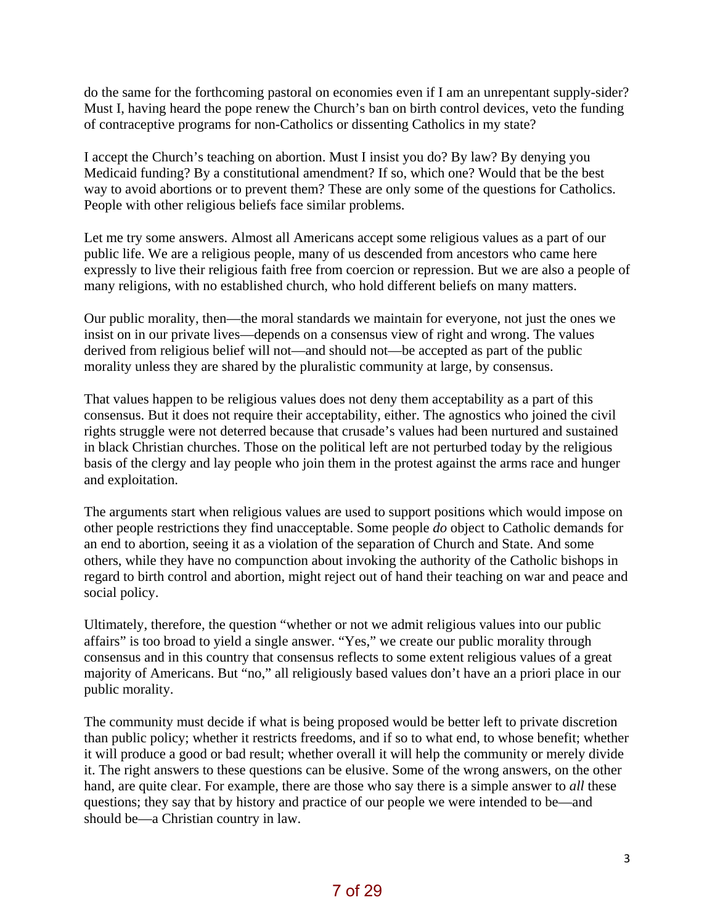do the same for the forthcoming pastoral on economies even if I am an unrepentant supply-sider? Must I, having heard the pope renew the Church's ban on birth control devices, veto the funding of contraceptive programs for non-Catholics or dissenting Catholics in my state?

I accept the Church's teaching on abortion. Must I insist you do? By law? By denying you Medicaid funding? By a constitutional amendment? If so, which one? Would that be the best way to avoid abortions or to prevent them? These are only some of the questions for Catholics. People with other religious beliefs face similar problems.

Let me try some answers. Almost all Americans accept some religious values as a part of our public life. We are a religious people, many of us descended from ancestors who came here expressly to live their religious faith free from coercion or repression. But we are also a people of many religions, with no established church, who hold different beliefs on many matters.

Our public morality, then—the moral standards we maintain for everyone, not just the ones we insist on in our private lives—depends on a consensus view of right and wrong. The values derived from religious belief will not—and should not—be accepted as part of the public morality unless they are shared by the pluralistic community at large, by consensus.

That values happen to be religious values does not deny them acceptability as a part of this consensus. But it does not require their acceptability, either. The agnostics who joined the civil rights struggle were not deterred because that crusade's values had been nurtured and sustained in black Christian churches. Those on the political left are not perturbed today by the religious basis of the clergy and lay people who join them in the protest against the arms race and hunger and exploitation.

The arguments start when religious values are used to support positions which would impose on other people restrictions they find unacceptable. Some people *do* object to Catholic demands for an end to abortion, seeing it as a violation of the separation of Church and State. And some others, while they have no compunction about invoking the authority of the Catholic bishops in regard to birth control and abortion, might reject out of hand their teaching on war and peace and social policy.

Ultimately, therefore, the question "whether or not we admit religious values into our public affairs" is too broad to yield a single answer. "Yes," we create our public morality through consensus and in this country that consensus reflects to some extent religious values of a great majority of Americans. But "no," all religiously based values don't have an a priori place in our public morality.

The community must decide if what is being proposed would be better left to private discretion than public policy; whether it restricts freedoms, and if so to what end, to whose benefit; whether it will produce a good or bad result; whether overall it will help the community or merely divide it. The right answers to these questions can be elusive. Some of the wrong answers, on the other hand, are quite clear. For example, there are those who say there is a simple answer to *all* these questions; they say that by history and practice of our people we were intended to be—and should be—a Christian country in law.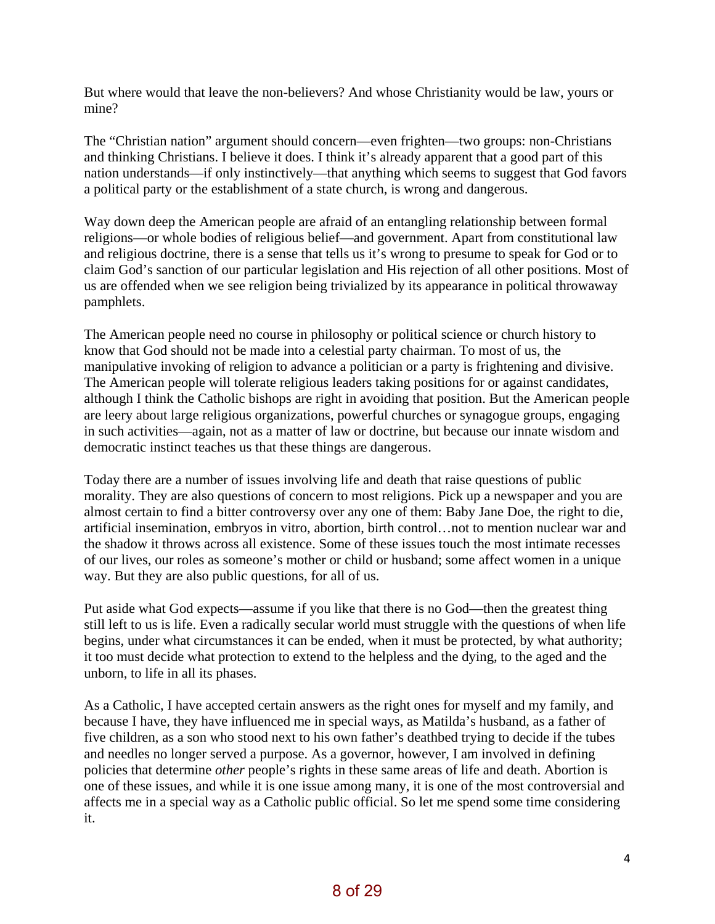But where would that leave the non-believers? And whose Christianity would be law, yours or mine?

The "Christian nation" argument should concern—even frighten—two groups: non-Christians and thinking Christians. I believe it does. I think it's already apparent that a good part of this nation understands—if only instinctively—that anything which seems to suggest that God favors a political party or the establishment of a state church, is wrong and dangerous.

Way down deep the American people are afraid of an entangling relationship between formal religions—or whole bodies of religious belief—and government. Apart from constitutional law and religious doctrine, there is a sense that tells us it's wrong to presume to speak for God or to claim God's sanction of our particular legislation and His rejection of all other positions. Most of us are offended when we see religion being trivialized by its appearance in political throwaway pamphlets.

The American people need no course in philosophy or political science or church history to know that God should not be made into a celestial party chairman. To most of us, the manipulative invoking of religion to advance a politician or a party is frightening and divisive. The American people will tolerate religious leaders taking positions for or against candidates, although I think the Catholic bishops are right in avoiding that position. But the American people are leery about large religious organizations, powerful churches or synagogue groups, engaging in such activities—again, not as a matter of law or doctrine, but because our innate wisdom and democratic instinct teaches us that these things are dangerous.

Today there are a number of issues involving life and death that raise questions of public morality. They are also questions of concern to most religions. Pick up a newspaper and you are almost certain to find a bitter controversy over any one of them: Baby Jane Doe, the right to die, artificial insemination, embryos in vitro, abortion, birth control…not to mention nuclear war and the shadow it throws across all existence. Some of these issues touch the most intimate recesses of our lives, our roles as someone's mother or child or husband; some affect women in a unique way. But they are also public questions, for all of us.

Put aside what God expects—assume if you like that there is no God—then the greatest thing still left to us is life. Even a radically secular world must struggle with the questions of when life begins, under what circumstances it can be ended, when it must be protected, by what authority; it too must decide what protection to extend to the helpless and the dying, to the aged and the unborn, to life in all its phases.

As a Catholic, I have accepted certain answers as the right ones for myself and my family, and because I have, they have influenced me in special ways, as Matilda's husband, as a father of five children, as a son who stood next to his own father's deathbed trying to decide if the tubes and needles no longer served a purpose. As a governor, however, I am involved in defining policies that determine *other* people's rights in these same areas of life and death. Abortion is one of these issues, and while it is one issue among many, it is one of the most controversial and affects me in a special way as a Catholic public official. So let me spend some time considering it.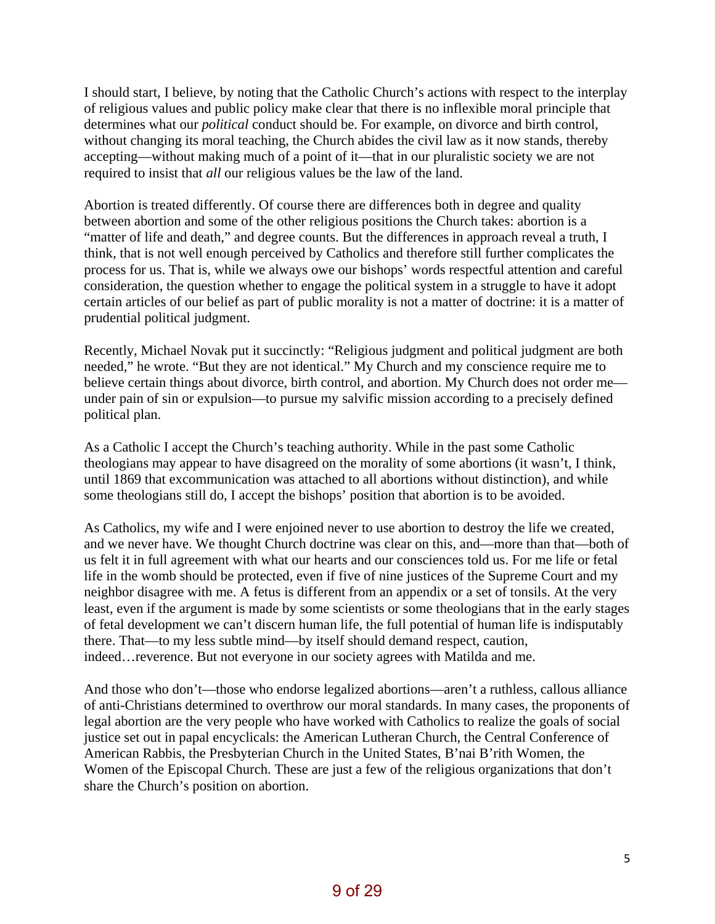I should start, I believe, by noting that the Catholic Church's actions with respect to the interplay of religious values and public policy make clear that there is no inflexible moral principle that determines what our *political* conduct should be. For example, on divorce and birth control, without changing its moral teaching, the Church abides the civil law as it now stands, thereby accepting—without making much of a point of it—that in our pluralistic society we are not required to insist that *all* our religious values be the law of the land.

Abortion is treated differently. Of course there are differences both in degree and quality between abortion and some of the other religious positions the Church takes: abortion is a "matter of life and death," and degree counts. But the differences in approach reveal a truth, I think, that is not well enough perceived by Catholics and therefore still further complicates the process for us. That is, while we always owe our bishops' words respectful attention and careful consideration, the question whether to engage the political system in a struggle to have it adopt certain articles of our belief as part of public morality is not a matter of doctrine: it is a matter of prudential political judgment.

Recently, Michael Novak put it succinctly: "Religious judgment and political judgment are both needed," he wrote. "But they are not identical." My Church and my conscience require me to believe certain things about divorce, birth control, and abortion. My Church does not order me under pain of sin or expulsion—to pursue my salvific mission according to a precisely defined political plan.

As a Catholic I accept the Church's teaching authority. While in the past some Catholic theologians may appear to have disagreed on the morality of some abortions (it wasn't, I think, until 1869 that excommunication was attached to all abortions without distinction), and while some theologians still do, I accept the bishops' position that abortion is to be avoided.

As Catholics, my wife and I were enjoined never to use abortion to destroy the life we created, and we never have. We thought Church doctrine was clear on this, and—more than that—both of us felt it in full agreement with what our hearts and our consciences told us. For me life or fetal life in the womb should be protected, even if five of nine justices of the Supreme Court and my neighbor disagree with me. A fetus is different from an appendix or a set of tonsils. At the very least, even if the argument is made by some scientists or some theologians that in the early stages of fetal development we can't discern human life, the full potential of human life is indisputably there. That—to my less subtle mind—by itself should demand respect, caution, indeed…reverence. But not everyone in our society agrees with Matilda and me.

And those who don't—those who endorse legalized abortions—aren't a ruthless, callous alliance of anti-Christians determined to overthrow our moral standards. In many cases, the proponents of legal abortion are the very people who have worked with Catholics to realize the goals of social justice set out in papal encyclicals: the American Lutheran Church, the Central Conference of American Rabbis, the Presbyterian Church in the United States, B'nai B'rith Women, the Women of the Episcopal Church. These are just a few of the religious organizations that don't share the Church's position on abortion.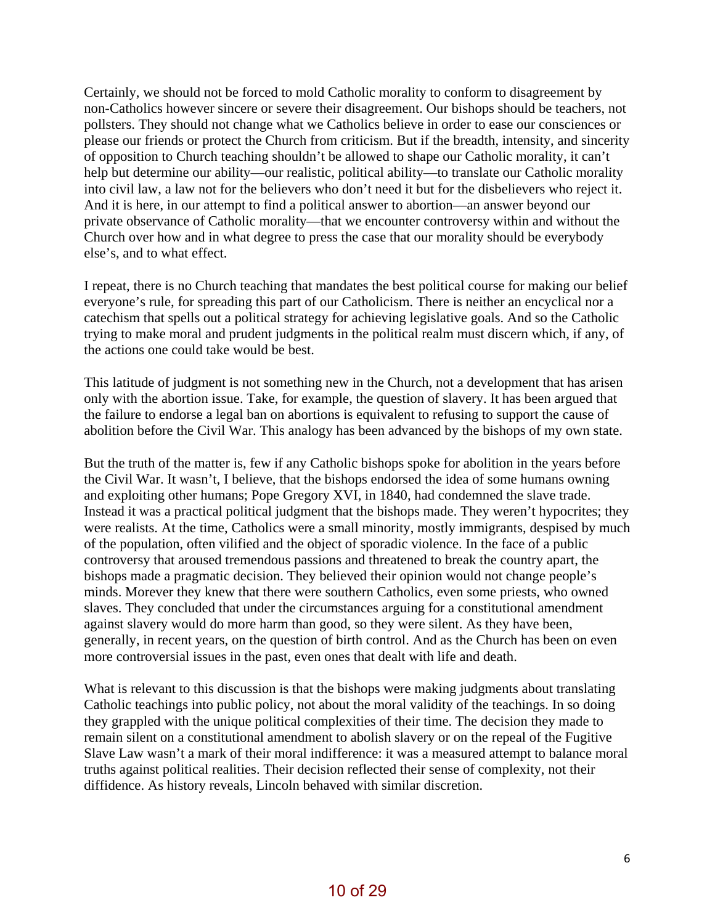Certainly, we should not be forced to mold Catholic morality to conform to disagreement by non-Catholics however sincere or severe their disagreement. Our bishops should be teachers, not pollsters. They should not change what we Catholics believe in order to ease our consciences or please our friends or protect the Church from criticism. But if the breadth, intensity, and sincerity of opposition to Church teaching shouldn't be allowed to shape our Catholic morality, it can't help but determine our ability—our realistic, political ability—to translate our Catholic morality into civil law, a law not for the believers who don't need it but for the disbelievers who reject it. And it is here, in our attempt to find a political answer to abortion—an answer beyond our private observance of Catholic morality—that we encounter controversy within and without the Church over how and in what degree to press the case that our morality should be everybody else's, and to what effect.

I repeat, there is no Church teaching that mandates the best political course for making our belief everyone's rule, for spreading this part of our Catholicism. There is neither an encyclical nor a catechism that spells out a political strategy for achieving legislative goals. And so the Catholic trying to make moral and prudent judgments in the political realm must discern which, if any, of the actions one could take would be best.

This latitude of judgment is not something new in the Church, not a development that has arisen only with the abortion issue. Take, for example, the question of slavery. It has been argued that the failure to endorse a legal ban on abortions is equivalent to refusing to support the cause of abolition before the Civil War. This analogy has been advanced by the bishops of my own state.

But the truth of the matter is, few if any Catholic bishops spoke for abolition in the years before the Civil War. It wasn't, I believe, that the bishops endorsed the idea of some humans owning and exploiting other humans; Pope Gregory XVI, in 1840, had condemned the slave trade. Instead it was a practical political judgment that the bishops made. They weren't hypocrites; they were realists. At the time, Catholics were a small minority, mostly immigrants, despised by much of the population, often vilified and the object of sporadic violence. In the face of a public controversy that aroused tremendous passions and threatened to break the country apart, the bishops made a pragmatic decision. They believed their opinion would not change people's minds. Morever they knew that there were southern Catholics, even some priests, who owned slaves. They concluded that under the circumstances arguing for a constitutional amendment against slavery would do more harm than good, so they were silent. As they have been, generally, in recent years, on the question of birth control. And as the Church has been on even more controversial issues in the past, even ones that dealt with life and death.

What is relevant to this discussion is that the bishops were making judgments about translating Catholic teachings into public policy, not about the moral validity of the teachings. In so doing they grappled with the unique political complexities of their time. The decision they made to remain silent on a constitutional amendment to abolish slavery or on the repeal of the Fugitive Slave Law wasn't a mark of their moral indifference: it was a measured attempt to balance moral truths against political realities. Their decision reflected their sense of complexity, not their diffidence. As history reveals, Lincoln behaved with similar discretion.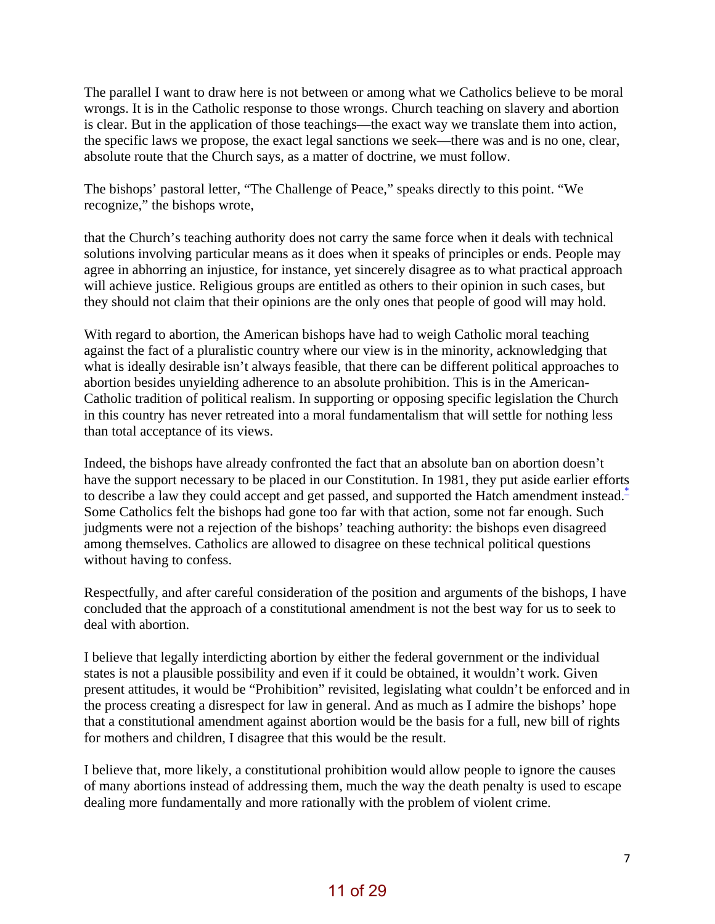The parallel I want to draw here is not between or among what we Catholics believe to be moral wrongs. It is in the Catholic response to those wrongs. Church teaching on slavery and abortion is clear. But in the application of those teachings—the exact way we translate them into action, the specific laws we propose, the exact legal sanctions we seek—there was and is no one, clear, absolute route that the Church says, as a matter of doctrine, we must follow.

The bishops' pastoral letter, "The Challenge of Peace," speaks directly to this point. "We recognize," the bishops wrote,

that the Church's teaching authority does not carry the same force when it deals with technical solutions involving particular means as it does when it speaks of principles or ends. People may agree in abhorring an injustice, for instance, yet sincerely disagree as to what practical approach will achieve justice. Religious groups are entitled as others to their opinion in such cases, but they should not claim that their opinions are the only ones that people of good will may hold.

With regard to abortion, the American bishops have had to weigh Catholic moral teaching against the fact of a pluralistic country where our view is in the minority, acknowledging that what is ideally desirable isn't always feasible, that there can be different political approaches to abortion besides unyielding adherence to an absolute prohibition. This is in the American-Catholic tradition of political realism. In supporting or opposing specific legislation the Church in this country has never retreated into a moral fundamentalism that will settle for nothing less than total acceptance of its views.

Indeed, the bishops have already confronted the fact that an absolute ban on abortion doesn't have the support necessary to be placed in our Constitution. In 1981, they put aside earlier efforts to describe a law they could accept and get passed, and supported the Hatch amendment instead. $\ddot{\cdot}$ Some Catholics felt the bishops had gone too far with that action, some not far enough. Such judgments were not a rejection of the bishops' teaching authority: the bishops even disagreed among themselves. Catholics are allowed to disagree on these technical political questions without having to confess.

Respectfully, and after careful consideration of the position and arguments of the bishops, I have concluded that the approach of a constitutional amendment is not the best way for us to seek to deal with abortion.

I believe that legally interdicting abortion by either the federal government or the individual states is not a plausible possibility and even if it could be obtained, it wouldn't work. Given present attitudes, it would be "Prohibition" revisited, legislating what couldn't be enforced and in the process creating a disrespect for law in general. And as much as I admire the bishops' hope that a constitutional amendment against abortion would be the basis for a full, new bill of rights for mothers and children, I disagree that this would be the result.

I believe that, more likely, a constitutional prohibition would allow people to ignore the causes of many abortions instead of addressing them, much the way the death penalty is used to escape dealing more fundamentally and more rationally with the problem of violent crime.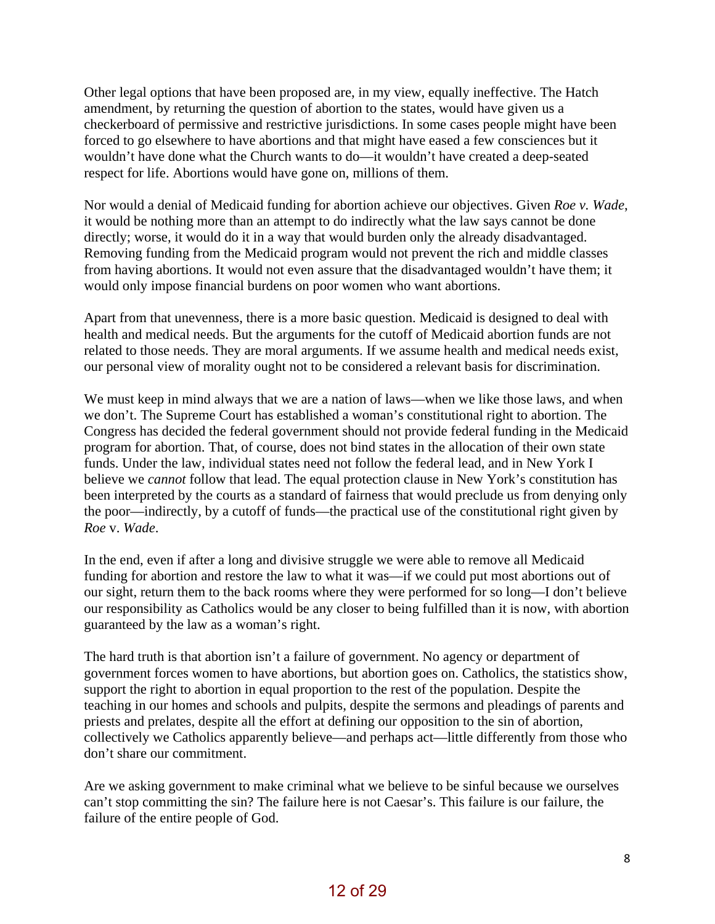Other legal options that have been proposed are, in my view, equally ineffective. The Hatch amendment, by returning the question of abortion to the states, would have given us a checkerboard of permissive and restrictive jurisdictions. In some cases people might have been forced to go elsewhere to have abortions and that might have eased a few consciences but it wouldn't have done what the Church wants to do—it wouldn't have created a deep-seated respect for life. Abortions would have gone on, millions of them.

Nor would a denial of Medicaid funding for abortion achieve our objectives. Given *Roe v. Wade*, it would be nothing more than an attempt to do indirectly what the law says cannot be done directly; worse, it would do it in a way that would burden only the already disadvantaged. Removing funding from the Medicaid program would not prevent the rich and middle classes from having abortions. It would not even assure that the disadvantaged wouldn't have them; it would only impose financial burdens on poor women who want abortions.

Apart from that unevenness, there is a more basic question. Medicaid is designed to deal with health and medical needs. But the arguments for the cutoff of Medicaid abortion funds are not related to those needs. They are moral arguments. If we assume health and medical needs exist, our personal view of morality ought not to be considered a relevant basis for discrimination.

We must keep in mind always that we are a nation of laws—when we like those laws, and when we don't. The Supreme Court has established a woman's constitutional right to abortion. The Congress has decided the federal government should not provide federal funding in the Medicaid program for abortion. That, of course, does not bind states in the allocation of their own state funds. Under the law, individual states need not follow the federal lead, and in New York I believe we *cannot* follow that lead. The equal protection clause in New York's constitution has been interpreted by the courts as a standard of fairness that would preclude us from denying only the poor—indirectly, by a cutoff of funds—the practical use of the constitutional right given by *Roe* v. *Wade*.

In the end, even if after a long and divisive struggle we were able to remove all Medicaid funding for abortion and restore the law to what it was—if we could put most abortions out of our sight, return them to the back rooms where they were performed for so long—I don't believe our responsibility as Catholics would be any closer to being fulfilled than it is now, with abortion guaranteed by the law as a woman's right.

The hard truth is that abortion isn't a failure of government. No agency or department of government forces women to have abortions, but abortion goes on. Catholics, the statistics show, support the right to abortion in equal proportion to the rest of the population. Despite the teaching in our homes and schools and pulpits, despite the sermons and pleadings of parents and priests and prelates, despite all the effort at defining our opposition to the sin of abortion, collectively we Catholics apparently believe—and perhaps act—little differently from those who don't share our commitment.

Are we asking government to make criminal what we believe to be sinful because we ourselves can't stop committing the sin? The failure here is not Caesar's. This failure is our failure, the failure of the entire people of God.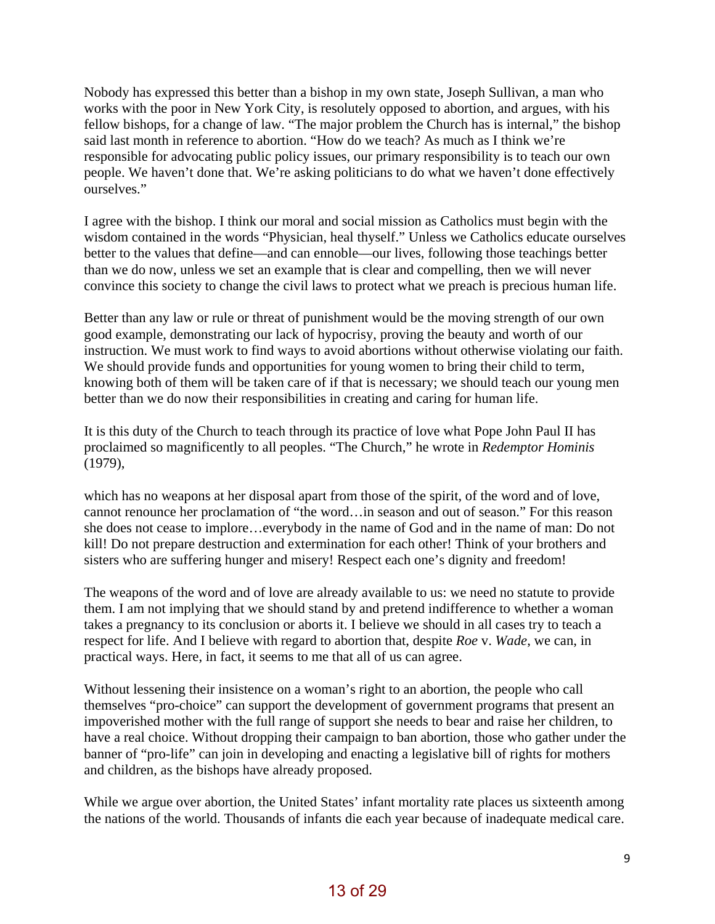Nobody has expressed this better than a bishop in my own state, Joseph Sullivan, a man who works with the poor in New York City, is resolutely opposed to abortion, and argues, with his fellow bishops, for a change of law. "The major problem the Church has is internal," the bishop said last month in reference to abortion. "How do we teach? As much as I think we're responsible for advocating public policy issues, our primary responsibility is to teach our own people. We haven't done that. We're asking politicians to do what we haven't done effectively ourselves."

I agree with the bishop. I think our moral and social mission as Catholics must begin with the wisdom contained in the words "Physician, heal thyself." Unless we Catholics educate ourselves better to the values that define—and can ennoble—our lives, following those teachings better than we do now, unless we set an example that is clear and compelling, then we will never convince this society to change the civil laws to protect what we preach is precious human life.

Better than any law or rule or threat of punishment would be the moving strength of our own good example, demonstrating our lack of hypocrisy, proving the beauty and worth of our instruction. We must work to find ways to avoid abortions without otherwise violating our faith. We should provide funds and opportunities for young women to bring their child to term, knowing both of them will be taken care of if that is necessary; we should teach our young men better than we do now their responsibilities in creating and caring for human life.

It is this duty of the Church to teach through its practice of love what Pope John Paul II has proclaimed so magnificently to all peoples. "The Church," he wrote in *Redemptor Hominis* (1979),

which has no weapons at her disposal apart from those of the spirit, of the word and of love, cannot renounce her proclamation of "the word…in season and out of season." For this reason she does not cease to implore…everybody in the name of God and in the name of man: Do not kill! Do not prepare destruction and extermination for each other! Think of your brothers and sisters who are suffering hunger and misery! Respect each one's dignity and freedom!

The weapons of the word and of love are already available to us: we need no statute to provide them. I am not implying that we should stand by and pretend indifference to whether a woman takes a pregnancy to its conclusion or aborts it. I believe we should in all cases try to teach a respect for life. And I believe with regard to abortion that, despite *Roe* v. *Wade*, we can, in practical ways. Here, in fact, it seems to me that all of us can agree.

Without lessening their insistence on a woman's right to an abortion, the people who call themselves "pro-choice" can support the development of government programs that present an impoverished mother with the full range of support she needs to bear and raise her children, to have a real choice. Without dropping their campaign to ban abortion, those who gather under the banner of "pro-life" can join in developing and enacting a legislative bill of rights for mothers and children, as the bishops have already proposed.

While we argue over abortion, the United States' infant mortality rate places us sixteenth among the nations of the world. Thousands of infants die each year because of inadequate medical care.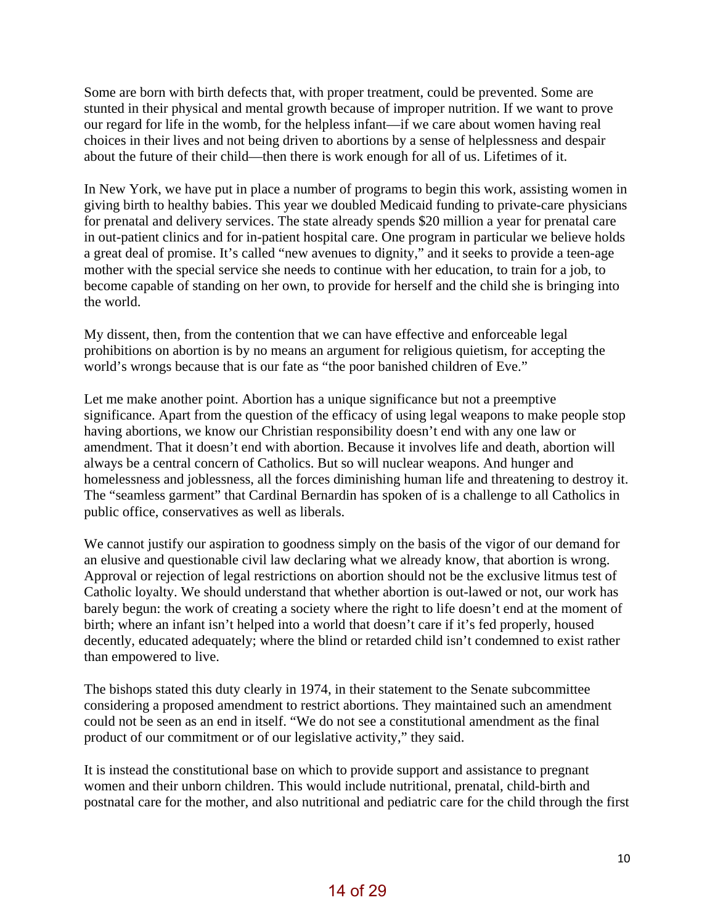Some are born with birth defects that, with proper treatment, could be prevented. Some are stunted in their physical and mental growth because of improper nutrition. If we want to prove our regard for life in the womb, for the helpless infant—if we care about women having real choices in their lives and not being driven to abortions by a sense of helplessness and despair about the future of their child—then there is work enough for all of us. Lifetimes of it.

In New York, we have put in place a number of programs to begin this work, assisting women in giving birth to healthy babies. This year we doubled Medicaid funding to private-care physicians for prenatal and delivery services. The state already spends \$20 million a year for prenatal care in out-patient clinics and for in-patient hospital care. One program in particular we believe holds a great deal of promise. It's called "new avenues to dignity," and it seeks to provide a teen-age mother with the special service she needs to continue with her education, to train for a job, to become capable of standing on her own, to provide for herself and the child she is bringing into the world.

My dissent, then, from the contention that we can have effective and enforceable legal prohibitions on abortion is by no means an argument for religious quietism, for accepting the world's wrongs because that is our fate as "the poor banished children of Eve."

Let me make another point. Abortion has a unique significance but not a preemptive significance. Apart from the question of the efficacy of using legal weapons to make people stop having abortions, we know our Christian responsibility doesn't end with any one law or amendment. That it doesn't end with abortion. Because it involves life and death, abortion will always be a central concern of Catholics. But so will nuclear weapons. And hunger and homelessness and joblessness, all the forces diminishing human life and threatening to destroy it. The "seamless garment" that Cardinal Bernardin has spoken of is a challenge to all Catholics in public office, conservatives as well as liberals.

We cannot justify our aspiration to goodness simply on the basis of the vigor of our demand for an elusive and questionable civil law declaring what we already know, that abortion is wrong. Approval or rejection of legal restrictions on abortion should not be the exclusive litmus test of Catholic loyalty. We should understand that whether abortion is out-lawed or not, our work has barely begun: the work of creating a society where the right to life doesn't end at the moment of birth; where an infant isn't helped into a world that doesn't care if it's fed properly, housed decently, educated adequately; where the blind or retarded child isn't condemned to exist rather than empowered to live.

The bishops stated this duty clearly in 1974, in their statement to the Senate subcommittee considering a proposed amendment to restrict abortions. They maintained such an amendment could not be seen as an end in itself. "We do not see a constitutional amendment as the final product of our commitment or of our legislative activity," they said.

It is instead the constitutional base on which to provide support and assistance to pregnant women and their unborn children. This would include nutritional, prenatal, child-birth and postnatal care for the mother, and also nutritional and pediatric care for the child through the first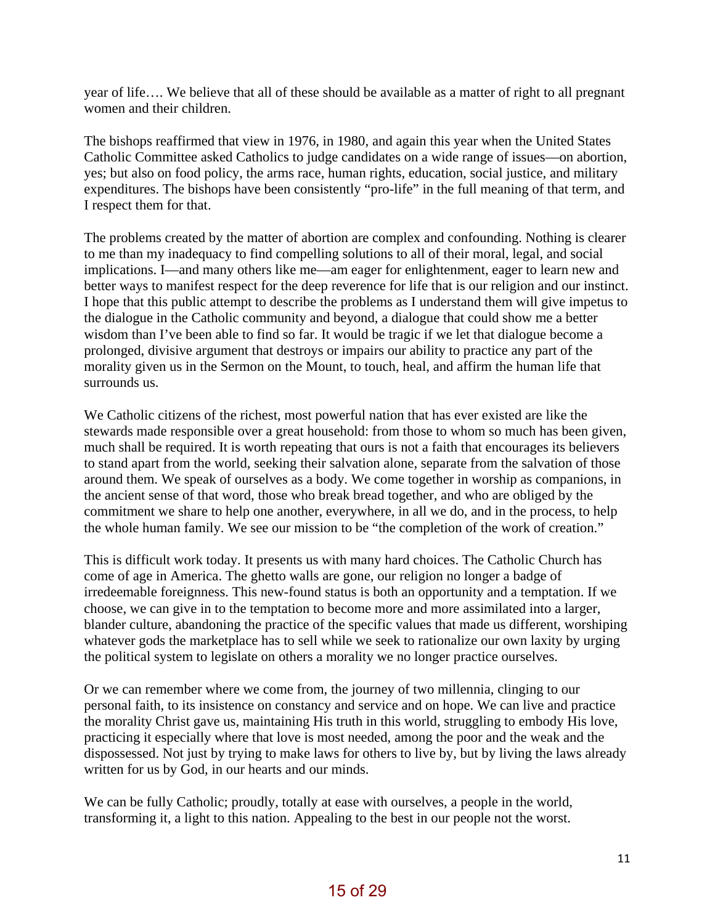year of life…. We believe that all of these should be available as a matter of right to all pregnant women and their children.

The bishops reaffirmed that view in 1976, in 1980, and again this year when the United States Catholic Committee asked Catholics to judge candidates on a wide range of issues—on abortion, yes; but also on food policy, the arms race, human rights, education, social justice, and military expenditures. The bishops have been consistently "pro-life" in the full meaning of that term, and I respect them for that.

The problems created by the matter of abortion are complex and confounding. Nothing is clearer to me than my inadequacy to find compelling solutions to all of their moral, legal, and social implications. I—and many others like me—am eager for enlightenment, eager to learn new and better ways to manifest respect for the deep reverence for life that is our religion and our instinct. I hope that this public attempt to describe the problems as I understand them will give impetus to the dialogue in the Catholic community and beyond, a dialogue that could show me a better wisdom than I've been able to find so far. It would be tragic if we let that dialogue become a prolonged, divisive argument that destroys or impairs our ability to practice any part of the morality given us in the Sermon on the Mount, to touch, heal, and affirm the human life that surrounds us.

We Catholic citizens of the richest, most powerful nation that has ever existed are like the stewards made responsible over a great household: from those to whom so much has been given, much shall be required. It is worth repeating that ours is not a faith that encourages its believers to stand apart from the world, seeking their salvation alone, separate from the salvation of those around them. We speak of ourselves as a body. We come together in worship as companions, in the ancient sense of that word, those who break bread together, and who are obliged by the commitment we share to help one another, everywhere, in all we do, and in the process, to help the whole human family. We see our mission to be "the completion of the work of creation."

This is difficult work today. It presents us with many hard choices. The Catholic Church has come of age in America. The ghetto walls are gone, our religion no longer a badge of irredeemable foreignness. This new-found status is both an opportunity and a temptation. If we choose, we can give in to the temptation to become more and more assimilated into a larger, blander culture, abandoning the practice of the specific values that made us different, worshiping whatever gods the marketplace has to sell while we seek to rationalize our own laxity by urging the political system to legislate on others a morality we no longer practice ourselves.

Or we can remember where we come from, the journey of two millennia, clinging to our personal faith, to its insistence on constancy and service and on hope. We can live and practice the morality Christ gave us, maintaining His truth in this world, struggling to embody His love, practicing it especially where that love is most needed, among the poor and the weak and the dispossessed. Not just by trying to make laws for others to live by, but by living the laws already written for us by God, in our hearts and our minds.

We can be fully Catholic; proudly, totally at ease with ourselves, a people in the world, transforming it, a light to this nation. Appealing to the best in our people not the worst.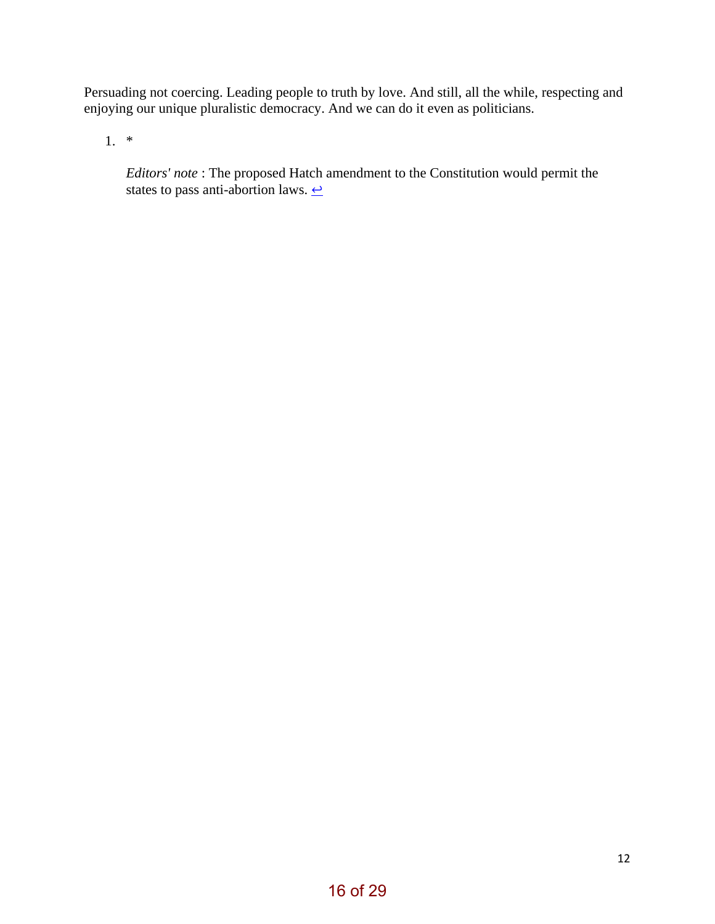Persuading not coercing. Leading people to truth by love. And still, all the while, respecting and enjoying our unique pluralistic democracy. And we can do it even as politicians.

1. \*

*Editors' note* : The proposed Hatch amendment to the Constitution would permit the states to pass anti-abortion laws.  $\triangle$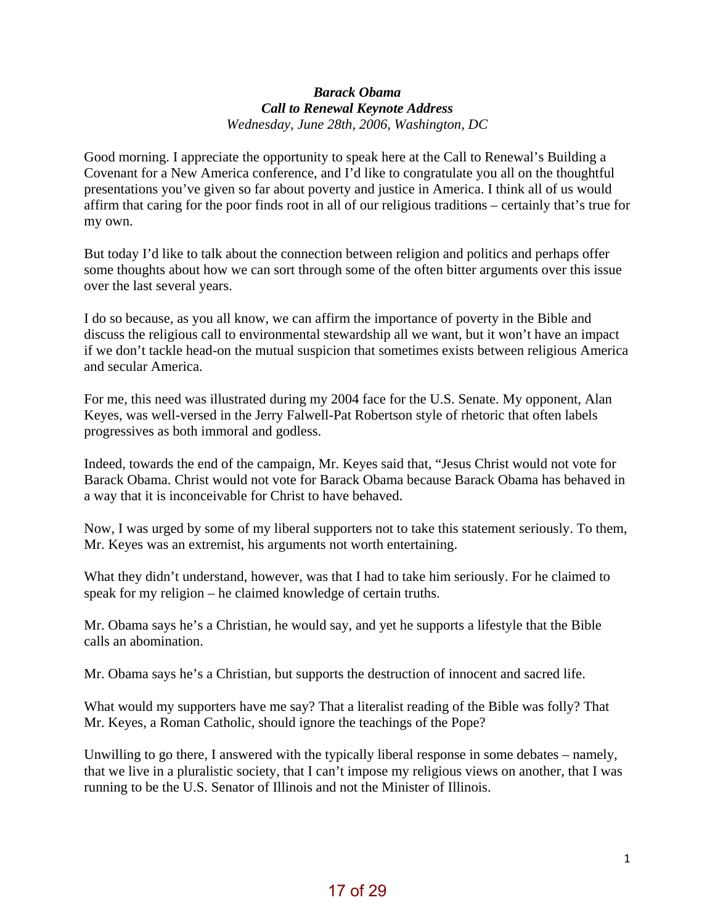#### *Barack Obama Call to Renewal Keynote Address Wednesday, June 28th, 2006, Washington, DC*

Good morning. I appreciate the opportunity to speak here at the Call to Renewal's Building a Covenant for a New America conference, and I'd like to congratulate you all on the thoughtful presentations you've given so far about poverty and justice in America. I think all of us would affirm that caring for the poor finds root in all of our religious traditions – certainly that's true for my own.

But today I'd like to talk about the connection between religion and politics and perhaps offer some thoughts about how we can sort through some of the often bitter arguments over this issue over the last several years.

I do so because, as you all know, we can affirm the importance of poverty in the Bible and discuss the religious call to environmental stewardship all we want, but it won't have an impact if we don't tackle head-on the mutual suspicion that sometimes exists between religious America and secular America.

For me, this need was illustrated during my 2004 face for the U.S. Senate. My opponent, Alan Keyes, was well-versed in the Jerry Falwell-Pat Robertson style of rhetoric that often labels progressives as both immoral and godless.

Indeed, towards the end of the campaign, Mr. Keyes said that, "Jesus Christ would not vote for Barack Obama. Christ would not vote for Barack Obama because Barack Obama has behaved in a way that it is inconceivable for Christ to have behaved.

Now, I was urged by some of my liberal supporters not to take this statement seriously. To them, Mr. Keyes was an extremist, his arguments not worth entertaining.

What they didn't understand, however, was that I had to take him seriously. For he claimed to speak for my religion – he claimed knowledge of certain truths.

Mr. Obama says he's a Christian, he would say, and yet he supports a lifestyle that the Bible calls an abomination.

Mr. Obama says he's a Christian, but supports the destruction of innocent and sacred life.

What would my supporters have me say? That a literalist reading of the Bible was folly? That Mr. Keyes, a Roman Catholic, should ignore the teachings of the Pope?

Unwilling to go there, I answered with the typically liberal response in some debates – namely, that we live in a pluralistic society, that I can't impose my religious views on another, that I was running to be the U.S. Senator of Illinois and not the Minister of Illinois.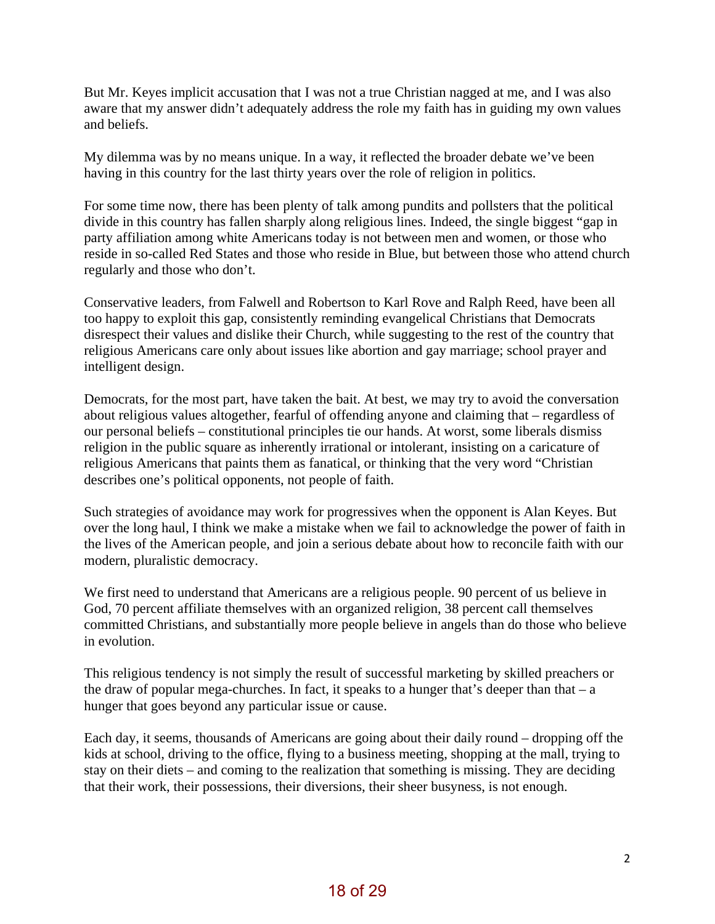But Mr. Keyes implicit accusation that I was not a true Christian nagged at me, and I was also aware that my answer didn't adequately address the role my faith has in guiding my own values and beliefs.

My dilemma was by no means unique. In a way, it reflected the broader debate we've been having in this country for the last thirty years over the role of religion in politics.

For some time now, there has been plenty of talk among pundits and pollsters that the political divide in this country has fallen sharply along religious lines. Indeed, the single biggest "gap in party affiliation among white Americans today is not between men and women, or those who reside in so-called Red States and those who reside in Blue, but between those who attend church regularly and those who don't.

Conservative leaders, from Falwell and Robertson to Karl Rove and Ralph Reed, have been all too happy to exploit this gap, consistently reminding evangelical Christians that Democrats disrespect their values and dislike their Church, while suggesting to the rest of the country that religious Americans care only about issues like abortion and gay marriage; school prayer and intelligent design.

Democrats, for the most part, have taken the bait. At best, we may try to avoid the conversation about religious values altogether, fearful of offending anyone and claiming that – regardless of our personal beliefs – constitutional principles tie our hands. At worst, some liberals dismiss religion in the public square as inherently irrational or intolerant, insisting on a caricature of religious Americans that paints them as fanatical, or thinking that the very word "Christian describes one's political opponents, not people of faith.

Such strategies of avoidance may work for progressives when the opponent is Alan Keyes. But over the long haul, I think we make a mistake when we fail to acknowledge the power of faith in the lives of the American people, and join a serious debate about how to reconcile faith with our modern, pluralistic democracy.

We first need to understand that Americans are a religious people. 90 percent of us believe in God, 70 percent affiliate themselves with an organized religion, 38 percent call themselves committed Christians, and substantially more people believe in angels than do those who believe in evolution.

This religious tendency is not simply the result of successful marketing by skilled preachers or the draw of popular mega-churches. In fact, it speaks to a hunger that's deeper than that  $-$  a hunger that goes beyond any particular issue or cause.

Each day, it seems, thousands of Americans are going about their daily round – dropping off the kids at school, driving to the office, flying to a business meeting, shopping at the mall, trying to stay on their diets – and coming to the realization that something is missing. They are deciding that their work, their possessions, their diversions, their sheer busyness, is not enough.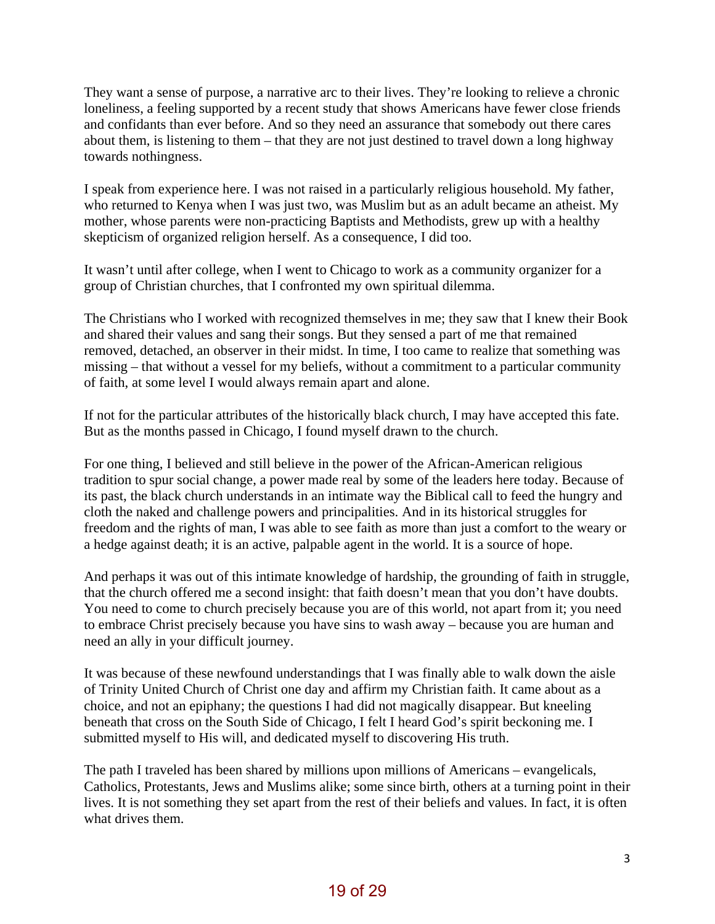They want a sense of purpose, a narrative arc to their lives. They're looking to relieve a chronic loneliness, a feeling supported by a recent study that shows Americans have fewer close friends and confidants than ever before. And so they need an assurance that somebody out there cares about them, is listening to them – that they are not just destined to travel down a long highway towards nothingness.

I speak from experience here. I was not raised in a particularly religious household. My father, who returned to Kenya when I was just two, was Muslim but as an adult became an atheist. My mother, whose parents were non-practicing Baptists and Methodists, grew up with a healthy skepticism of organized religion herself. As a consequence, I did too.

It wasn't until after college, when I went to Chicago to work as a community organizer for a group of Christian churches, that I confronted my own spiritual dilemma.

The Christians who I worked with recognized themselves in me; they saw that I knew their Book and shared their values and sang their songs. But they sensed a part of me that remained removed, detached, an observer in their midst. In time, I too came to realize that something was missing – that without a vessel for my beliefs, without a commitment to a particular community of faith, at some level I would always remain apart and alone.

If not for the particular attributes of the historically black church, I may have accepted this fate. But as the months passed in Chicago, I found myself drawn to the church.

For one thing, I believed and still believe in the power of the African-American religious tradition to spur social change, a power made real by some of the leaders here today. Because of its past, the black church understands in an intimate way the Biblical call to feed the hungry and cloth the naked and challenge powers and principalities. And in its historical struggles for freedom and the rights of man, I was able to see faith as more than just a comfort to the weary or a hedge against death; it is an active, palpable agent in the world. It is a source of hope.

And perhaps it was out of this intimate knowledge of hardship, the grounding of faith in struggle, that the church offered me a second insight: that faith doesn't mean that you don't have doubts. You need to come to church precisely because you are of this world, not apart from it; you need to embrace Christ precisely because you have sins to wash away – because you are human and need an ally in your difficult journey.

It was because of these newfound understandings that I was finally able to walk down the aisle of Trinity United Church of Christ one day and affirm my Christian faith. It came about as a choice, and not an epiphany; the questions I had did not magically disappear. But kneeling beneath that cross on the South Side of Chicago, I felt I heard God's spirit beckoning me. I submitted myself to His will, and dedicated myself to discovering His truth.

The path I traveled has been shared by millions upon millions of Americans – evangelicals, Catholics, Protestants, Jews and Muslims alike; some since birth, others at a turning point in their lives. It is not something they set apart from the rest of their beliefs and values. In fact, it is often what drives them.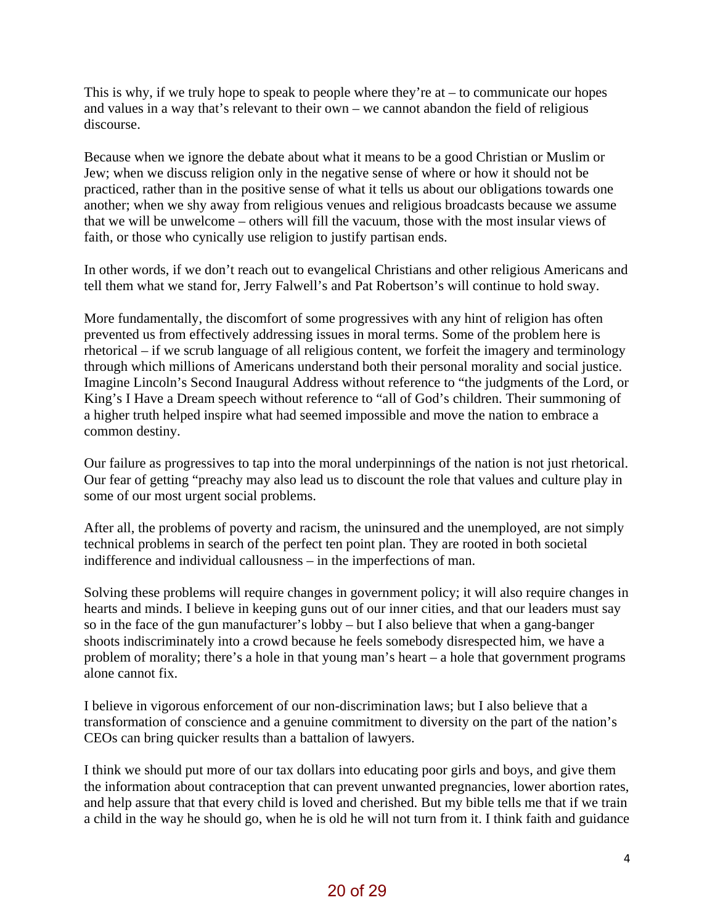This is why, if we truly hope to speak to people where they're at – to communicate our hopes and values in a way that's relevant to their own – we cannot abandon the field of religious discourse.

Because when we ignore the debate about what it means to be a good Christian or Muslim or Jew; when we discuss religion only in the negative sense of where or how it should not be practiced, rather than in the positive sense of what it tells us about our obligations towards one another; when we shy away from religious venues and religious broadcasts because we assume that we will be unwelcome – others will fill the vacuum, those with the most insular views of faith, or those who cynically use religion to justify partisan ends.

In other words, if we don't reach out to evangelical Christians and other religious Americans and tell them what we stand for, Jerry Falwell's and Pat Robertson's will continue to hold sway.

More fundamentally, the discomfort of some progressives with any hint of religion has often prevented us from effectively addressing issues in moral terms. Some of the problem here is rhetorical – if we scrub language of all religious content, we forfeit the imagery and terminology through which millions of Americans understand both their personal morality and social justice. Imagine Lincoln's Second Inaugural Address without reference to "the judgments of the Lord, or King's I Have a Dream speech without reference to "all of God's children. Their summoning of a higher truth helped inspire what had seemed impossible and move the nation to embrace a common destiny.

Our failure as progressives to tap into the moral underpinnings of the nation is not just rhetorical. Our fear of getting "preachy may also lead us to discount the role that values and culture play in some of our most urgent social problems.

After all, the problems of poverty and racism, the uninsured and the unemployed, are not simply technical problems in search of the perfect ten point plan. They are rooted in both societal indifference and individual callousness – in the imperfections of man.

Solving these problems will require changes in government policy; it will also require changes in hearts and minds. I believe in keeping guns out of our inner cities, and that our leaders must say so in the face of the gun manufacturer's lobby – but I also believe that when a gang-banger shoots indiscriminately into a crowd because he feels somebody disrespected him, we have a problem of morality; there's a hole in that young man's heart – a hole that government programs alone cannot fix.

I believe in vigorous enforcement of our non-discrimination laws; but I also believe that a transformation of conscience and a genuine commitment to diversity on the part of the nation's CEOs can bring quicker results than a battalion of lawyers.

I think we should put more of our tax dollars into educating poor girls and boys, and give them the information about contraception that can prevent unwanted pregnancies, lower abortion rates, and help assure that that every child is loved and cherished. But my bible tells me that if we train a child in the way he should go, when he is old he will not turn from it. I think faith and guidance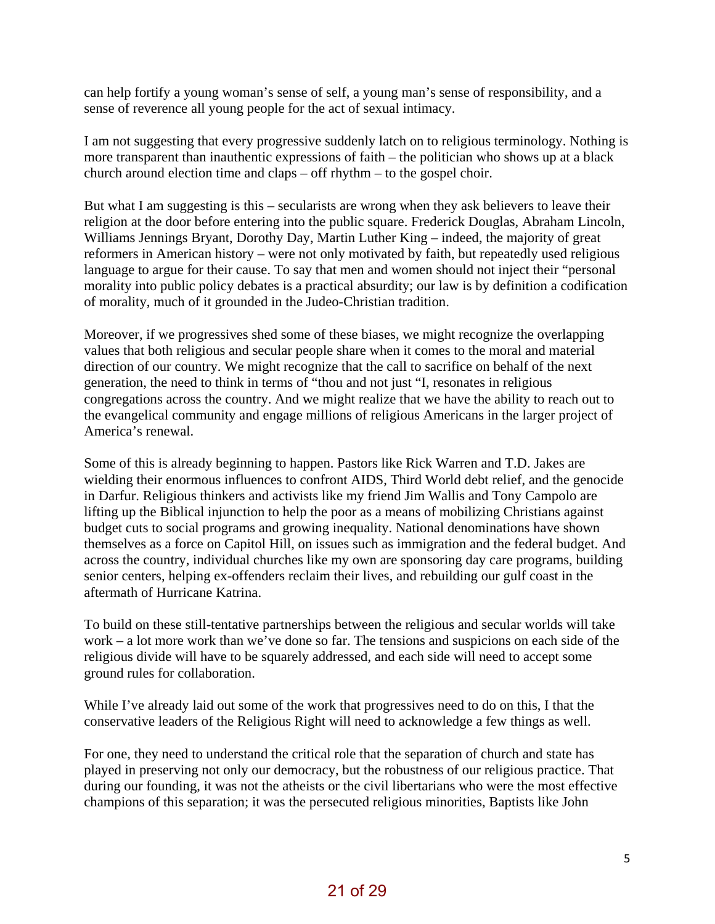can help fortify a young woman's sense of self, a young man's sense of responsibility, and a sense of reverence all young people for the act of sexual intimacy.

I am not suggesting that every progressive suddenly latch on to religious terminology. Nothing is more transparent than inauthentic expressions of faith – the politician who shows up at a black church around election time and claps – off rhythm – to the gospel choir.

But what I am suggesting is this – secularists are wrong when they ask believers to leave their religion at the door before entering into the public square. Frederick Douglas, Abraham Lincoln, Williams Jennings Bryant, Dorothy Day, Martin Luther King – indeed, the majority of great reformers in American history – were not only motivated by faith, but repeatedly used religious language to argue for their cause. To say that men and women should not inject their "personal morality into public policy debates is a practical absurdity; our law is by definition a codification of morality, much of it grounded in the Judeo-Christian tradition.

Moreover, if we progressives shed some of these biases, we might recognize the overlapping values that both religious and secular people share when it comes to the moral and material direction of our country. We might recognize that the call to sacrifice on behalf of the next generation, the need to think in terms of "thou and not just "I, resonates in religious congregations across the country. And we might realize that we have the ability to reach out to the evangelical community and engage millions of religious Americans in the larger project of America's renewal.

Some of this is already beginning to happen. Pastors like Rick Warren and T.D. Jakes are wielding their enormous influences to confront AIDS, Third World debt relief, and the genocide in Darfur. Religious thinkers and activists like my friend Jim Wallis and Tony Campolo are lifting up the Biblical injunction to help the poor as a means of mobilizing Christians against budget cuts to social programs and growing inequality. National denominations have shown themselves as a force on Capitol Hill, on issues such as immigration and the federal budget. And across the country, individual churches like my own are sponsoring day care programs, building senior centers, helping ex-offenders reclaim their lives, and rebuilding our gulf coast in the aftermath of Hurricane Katrina.

To build on these still-tentative partnerships between the religious and secular worlds will take work – a lot more work than we've done so far. The tensions and suspicions on each side of the religious divide will have to be squarely addressed, and each side will need to accept some ground rules for collaboration.

While I've already laid out some of the work that progressives need to do on this, I that the conservative leaders of the Religious Right will need to acknowledge a few things as well.

For one, they need to understand the critical role that the separation of church and state has played in preserving not only our democracy, but the robustness of our religious practice. That during our founding, it was not the atheists or the civil libertarians who were the most effective champions of this separation; it was the persecuted religious minorities, Baptists like John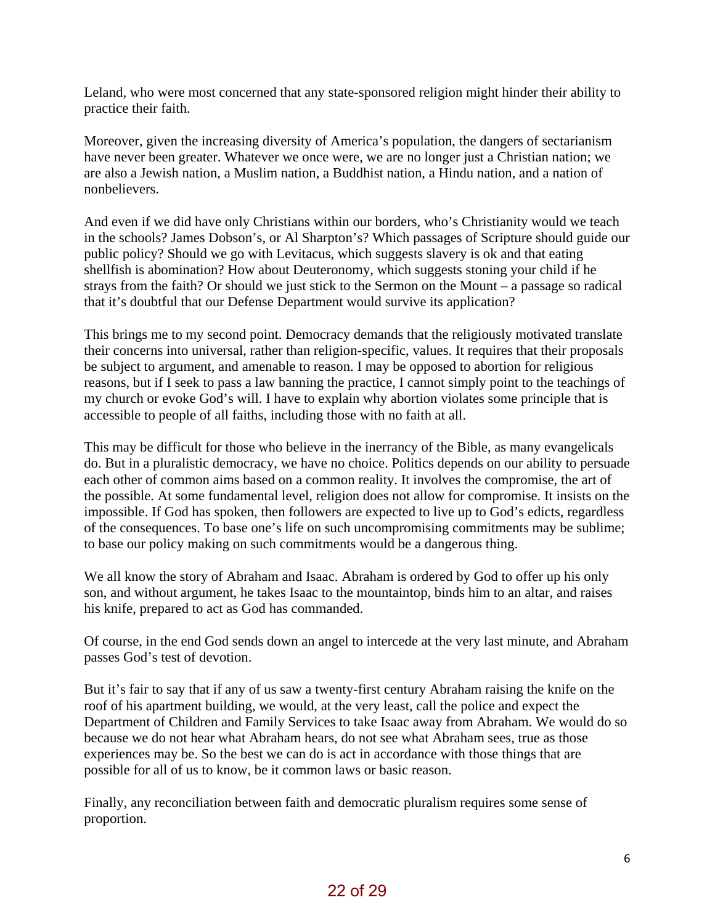Leland, who were most concerned that any state-sponsored religion might hinder their ability to practice their faith.

Moreover, given the increasing diversity of America's population, the dangers of sectarianism have never been greater. Whatever we once were, we are no longer just a Christian nation; we are also a Jewish nation, a Muslim nation, a Buddhist nation, a Hindu nation, and a nation of nonbelievers.

And even if we did have only Christians within our borders, who's Christianity would we teach in the schools? James Dobson's, or Al Sharpton's? Which passages of Scripture should guide our public policy? Should we go with Levitacus, which suggests slavery is ok and that eating shellfish is abomination? How about Deuteronomy, which suggests stoning your child if he strays from the faith? Or should we just stick to the Sermon on the Mount – a passage so radical that it's doubtful that our Defense Department would survive its application?

This brings me to my second point. Democracy demands that the religiously motivated translate their concerns into universal, rather than religion-specific, values. It requires that their proposals be subject to argument, and amenable to reason. I may be opposed to abortion for religious reasons, but if I seek to pass a law banning the practice, I cannot simply point to the teachings of my church or evoke God's will. I have to explain why abortion violates some principle that is accessible to people of all faiths, including those with no faith at all.

This may be difficult for those who believe in the inerrancy of the Bible, as many evangelicals do. But in a pluralistic democracy, we have no choice. Politics depends on our ability to persuade each other of common aims based on a common reality. It involves the compromise, the art of the possible. At some fundamental level, religion does not allow for compromise. It insists on the impossible. If God has spoken, then followers are expected to live up to God's edicts, regardless of the consequences. To base one's life on such uncompromising commitments may be sublime; to base our policy making on such commitments would be a dangerous thing.

We all know the story of Abraham and Isaac. Abraham is ordered by God to offer up his only son, and without argument, he takes Isaac to the mountaintop, binds him to an altar, and raises his knife, prepared to act as God has commanded.

Of course, in the end God sends down an angel to intercede at the very last minute, and Abraham passes God's test of devotion.

But it's fair to say that if any of us saw a twenty-first century Abraham raising the knife on the roof of his apartment building, we would, at the very least, call the police and expect the Department of Children and Family Services to take Isaac away from Abraham. We would do so because we do not hear what Abraham hears, do not see what Abraham sees, true as those experiences may be. So the best we can do is act in accordance with those things that are possible for all of us to know, be it common laws or basic reason.

Finally, any reconciliation between faith and democratic pluralism requires some sense of proportion.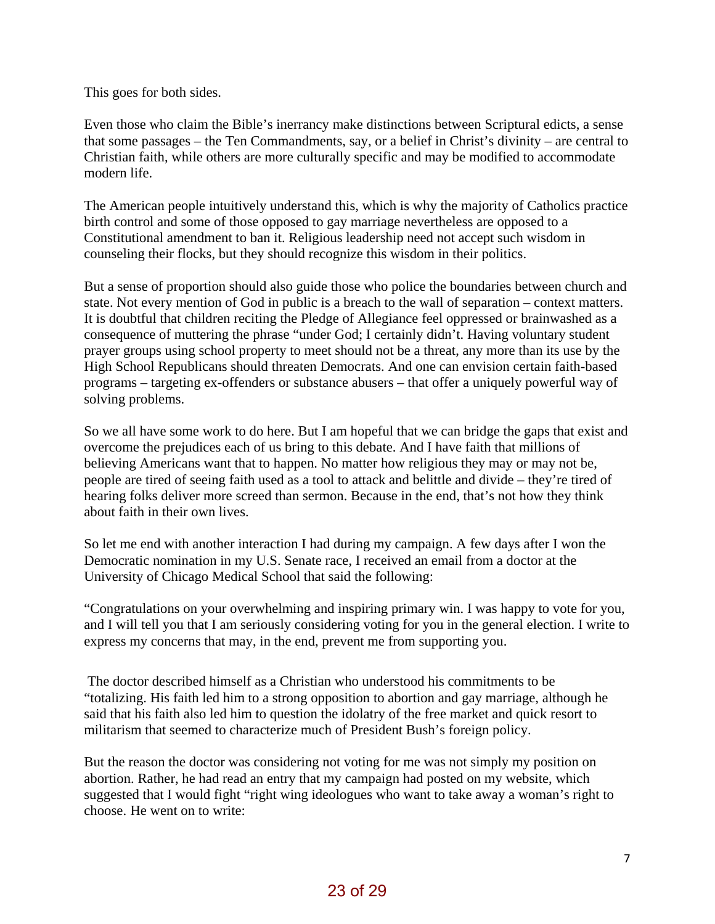This goes for both sides.

Even those who claim the Bible's inerrancy make distinctions between Scriptural edicts, a sense that some passages – the Ten Commandments, say, or a belief in Christ's divinity – are central to Christian faith, while others are more culturally specific and may be modified to accommodate modern life.

The American people intuitively understand this, which is why the majority of Catholics practice birth control and some of those opposed to gay marriage nevertheless are opposed to a Constitutional amendment to ban it. Religious leadership need not accept such wisdom in counseling their flocks, but they should recognize this wisdom in their politics.

But a sense of proportion should also guide those who police the boundaries between church and state. Not every mention of God in public is a breach to the wall of separation – context matters. It is doubtful that children reciting the Pledge of Allegiance feel oppressed or brainwashed as a consequence of muttering the phrase "under God; I certainly didn't. Having voluntary student prayer groups using school property to meet should not be a threat, any more than its use by the High School Republicans should threaten Democrats. And one can envision certain faith-based programs – targeting ex-offenders or substance abusers – that offer a uniquely powerful way of solving problems.

So we all have some work to do here. But I am hopeful that we can bridge the gaps that exist and overcome the prejudices each of us bring to this debate. And I have faith that millions of believing Americans want that to happen. No matter how religious they may or may not be, people are tired of seeing faith used as a tool to attack and belittle and divide – they're tired of hearing folks deliver more screed than sermon. Because in the end, that's not how they think about faith in their own lives.

So let me end with another interaction I had during my campaign. A few days after I won the Democratic nomination in my U.S. Senate race, I received an email from a doctor at the University of Chicago Medical School that said the following:

"Congratulations on your overwhelming and inspiring primary win. I was happy to vote for you, and I will tell you that I am seriously considering voting for you in the general election. I write to express my concerns that may, in the end, prevent me from supporting you.

 The doctor described himself as a Christian who understood his commitments to be "totalizing. His faith led him to a strong opposition to abortion and gay marriage, although he said that his faith also led him to question the idolatry of the free market and quick resort to militarism that seemed to characterize much of President Bush's foreign policy.

But the reason the doctor was considering not voting for me was not simply my position on abortion. Rather, he had read an entry that my campaign had posted on my website, which suggested that I would fight "right wing ideologues who want to take away a woman's right to choose. He went on to write: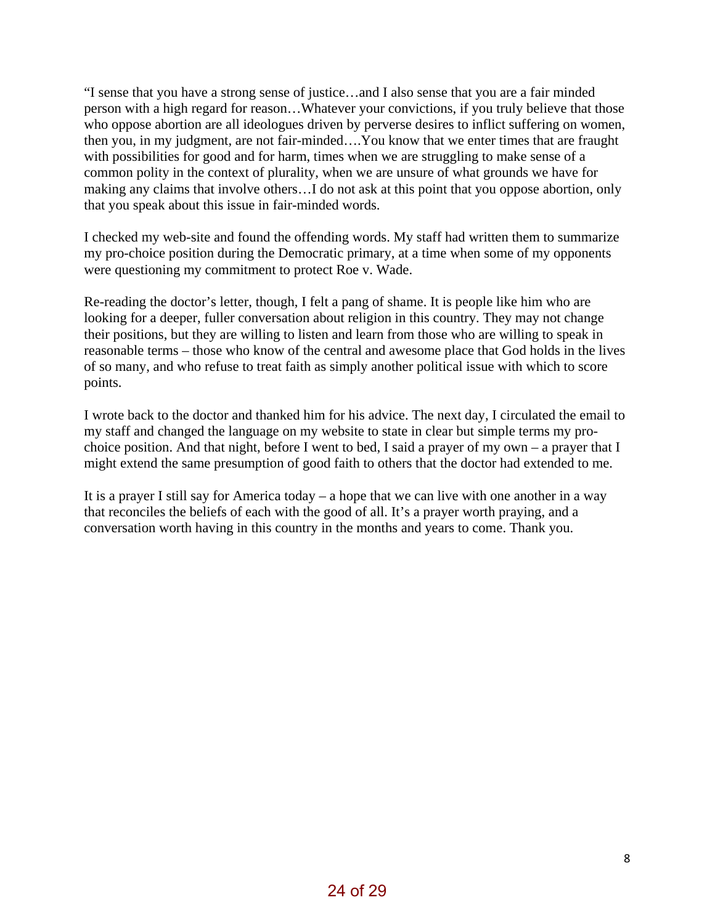"I sense that you have a strong sense of justice…and I also sense that you are a fair minded person with a high regard for reason…Whatever your convictions, if you truly believe that those who oppose abortion are all ideologues driven by perverse desires to inflict suffering on women, then you, in my judgment, are not fair-minded….You know that we enter times that are fraught with possibilities for good and for harm, times when we are struggling to make sense of a common polity in the context of plurality, when we are unsure of what grounds we have for making any claims that involve others…I do not ask at this point that you oppose abortion, only that you speak about this issue in fair-minded words.

I checked my web-site and found the offending words. My staff had written them to summarize my pro-choice position during the Democratic primary, at a time when some of my opponents were questioning my commitment to protect Roe v. Wade.

Re-reading the doctor's letter, though, I felt a pang of shame. It is people like him who are looking for a deeper, fuller conversation about religion in this country. They may not change their positions, but they are willing to listen and learn from those who are willing to speak in reasonable terms – those who know of the central and awesome place that God holds in the lives of so many, and who refuse to treat faith as simply another political issue with which to score points.

I wrote back to the doctor and thanked him for his advice. The next day, I circulated the email to my staff and changed the language on my website to state in clear but simple terms my prochoice position. And that night, before I went to bed, I said a prayer of my own – a prayer that I might extend the same presumption of good faith to others that the doctor had extended to me.

It is a prayer I still say for America today – a hope that we can live with one another in a way that reconciles the beliefs of each with the good of all. It's a prayer worth praying, and a conversation worth having in this country in the months and years to come. Thank you.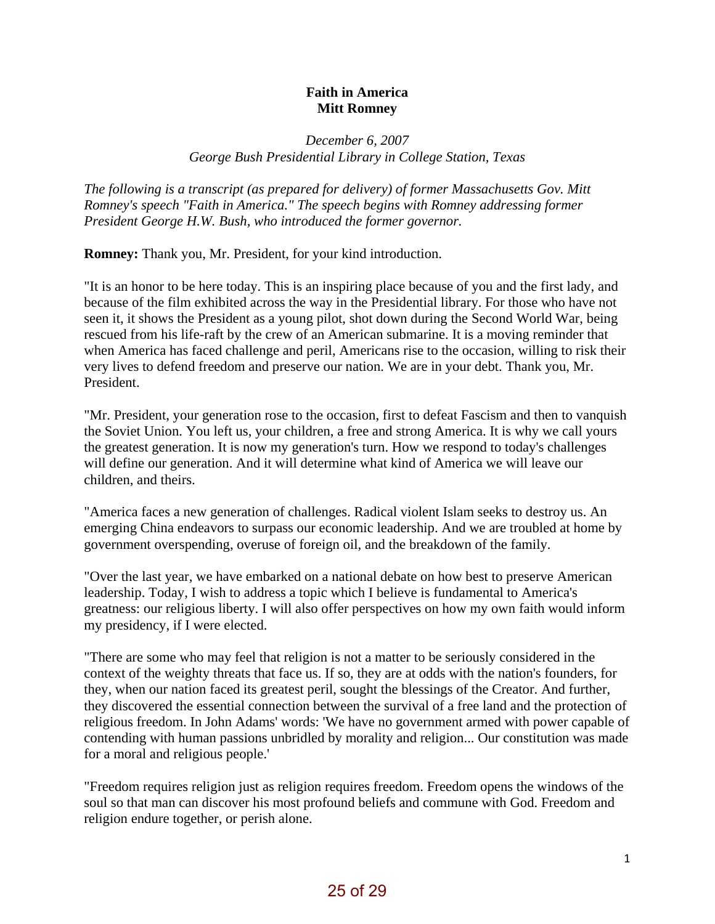#### **Faith in America Mitt Romney**

### *December 6, 2007 George Bush Presidential Library in College Station, Texas*

*The following is a transcript (as prepared for delivery) of former Massachusetts Gov. Mitt Romney's speech "Faith in America." The speech begins with Romney addressing former President George H.W. Bush, who introduced the former governor.*

**Romney:** Thank you, Mr. President, for your kind introduction.

"It is an honor to be here today. This is an inspiring place because of you and the first lady, and because of the film exhibited across the way in the Presidential library. For those who have not seen it, it shows the President as a young pilot, shot down during the Second World War, being rescued from his life-raft by the crew of an American submarine. It is a moving reminder that when America has faced challenge and peril, Americans rise to the occasion, willing to risk their very lives to defend freedom and preserve our nation. We are in your debt. Thank you, Mr. President.

"Mr. President, your generation rose to the occasion, first to defeat Fascism and then to vanquish the Soviet Union. You left us, your children, a free and strong America. It is why we call yours the greatest generation. It is now my generation's turn. How we respond to today's challenges will define our generation. And it will determine what kind of America we will leave our children, and theirs.

"America faces a new generation of challenges. Radical violent Islam seeks to destroy us. An emerging China endeavors to surpass our economic leadership. And we are troubled at home by government overspending, overuse of foreign oil, and the breakdown of the family.

"Over the last year, we have embarked on a national debate on how best to preserve American leadership. Today, I wish to address a topic which I believe is fundamental to America's greatness: our religious liberty. I will also offer perspectives on how my own faith would inform my presidency, if I were elected.

"There are some who may feel that religion is not a matter to be seriously considered in the context of the weighty threats that face us. If so, they are at odds with the nation's founders, for they, when our nation faced its greatest peril, sought the blessings of the Creator. And further, they discovered the essential connection between the survival of a free land and the protection of religious freedom. In John Adams' words: 'We have no government armed with power capable of contending with human passions unbridled by morality and religion... Our constitution was made for a moral and religious people.'

"Freedom requires religion just as religion requires freedom. Freedom opens the windows of the soul so that man can discover his most profound beliefs and commune with God. Freedom and religion endure together, or perish alone.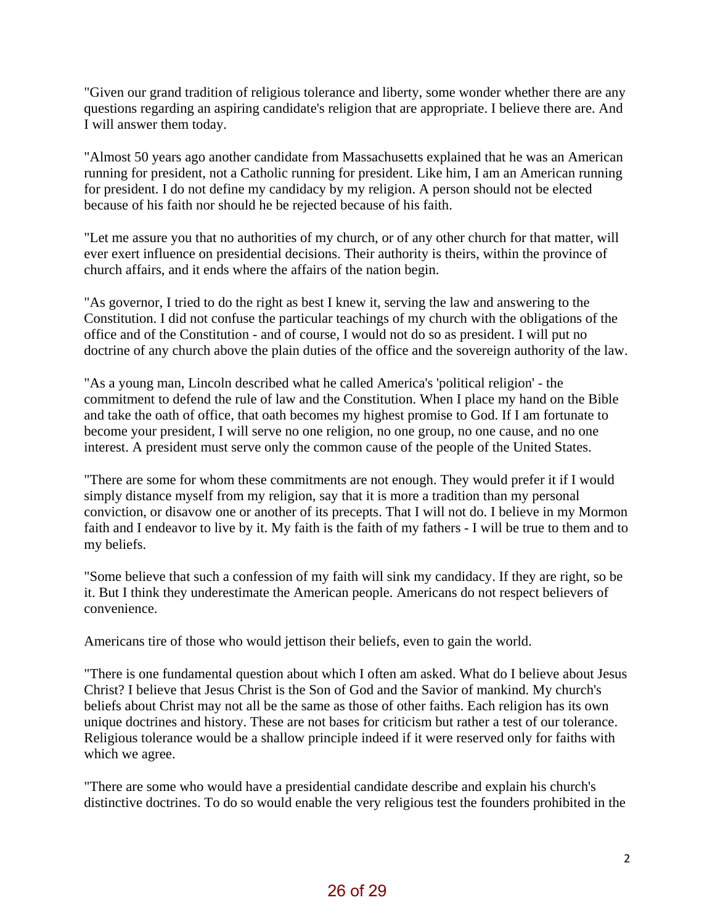"Given our grand tradition of religious tolerance and liberty, some wonder whether there are any questions regarding an aspiring candidate's religion that are appropriate. I believe there are. And I will answer them today.

"Almost 50 years ago another candidate from Massachusetts explained that he was an American running for president, not a Catholic running for president. Like him, I am an American running for president. I do not define my candidacy by my religion. A person should not be elected because of his faith nor should he be rejected because of his faith.

"Let me assure you that no authorities of my church, or of any other church for that matter, will ever exert influence on presidential decisions. Their authority is theirs, within the province of church affairs, and it ends where the affairs of the nation begin.

"As governor, I tried to do the right as best I knew it, serving the law and answering to the Constitution. I did not confuse the particular teachings of my church with the obligations of the office and of the Constitution - and of course, I would not do so as president. I will put no doctrine of any church above the plain duties of the office and the sovereign authority of the law.

"As a young man, Lincoln described what he called America's 'political religion' - the commitment to defend the rule of law and the Constitution. When I place my hand on the Bible and take the oath of office, that oath becomes my highest promise to God. If I am fortunate to become your president, I will serve no one religion, no one group, no one cause, and no one interest. A president must serve only the common cause of the people of the United States.

"There are some for whom these commitments are not enough. They would prefer it if I would simply distance myself from my religion, say that it is more a tradition than my personal conviction, or disavow one or another of its precepts. That I will not do. I believe in my Mormon faith and I endeavor to live by it. My faith is the faith of my fathers - I will be true to them and to my beliefs.

"Some believe that such a confession of my faith will sink my candidacy. If they are right, so be it. But I think they underestimate the American people. Americans do not respect believers of convenience.

Americans tire of those who would jettison their beliefs, even to gain the world.

"There is one fundamental question about which I often am asked. What do I believe about Jesus Christ? I believe that Jesus Christ is the Son of God and the Savior of mankind. My church's beliefs about Christ may not all be the same as those of other faiths. Each religion has its own unique doctrines and history. These are not bases for criticism but rather a test of our tolerance. Religious tolerance would be a shallow principle indeed if it were reserved only for faiths with which we agree.

"There are some who would have a presidential candidate describe and explain his church's distinctive doctrines. To do so would enable the very religious test the founders prohibited in the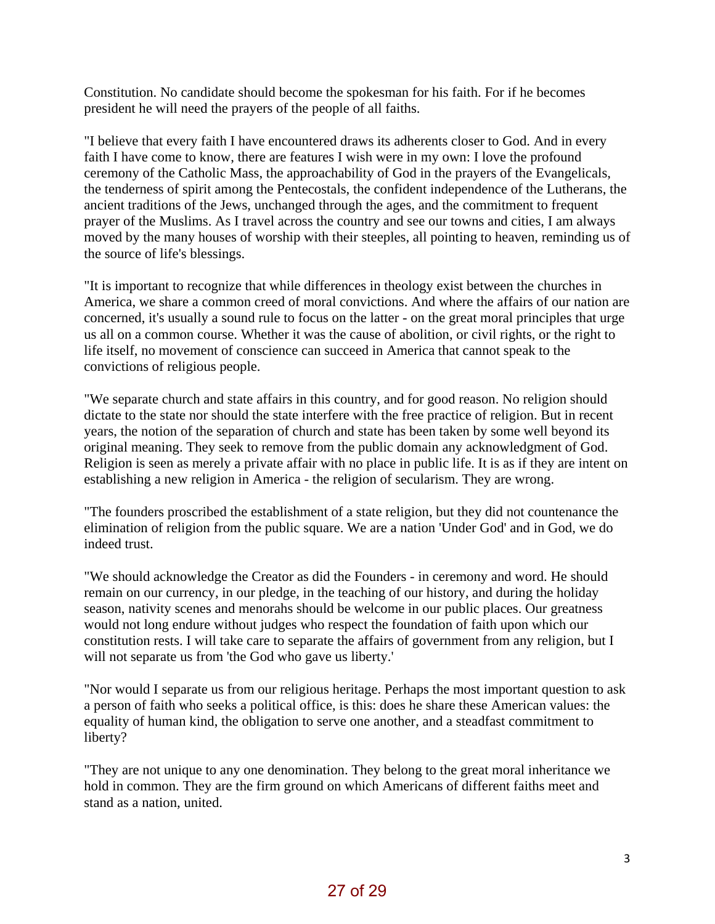Constitution. No candidate should become the spokesman for his faith. For if he becomes president he will need the prayers of the people of all faiths.

"I believe that every faith I have encountered draws its adherents closer to God. And in every faith I have come to know, there are features I wish were in my own: I love the profound ceremony of the Catholic Mass, the approachability of God in the prayers of the Evangelicals, the tenderness of spirit among the Pentecostals, the confident independence of the Lutherans, the ancient traditions of the Jews, unchanged through the ages, and the commitment to frequent prayer of the Muslims. As I travel across the country and see our towns and cities, I am always moved by the many houses of worship with their steeples, all pointing to heaven, reminding us of the source of life's blessings.

"It is important to recognize that while differences in theology exist between the churches in America, we share a common creed of moral convictions. And where the affairs of our nation are concerned, it's usually a sound rule to focus on the latter - on the great moral principles that urge us all on a common course. Whether it was the cause of abolition, or civil rights, or the right to life itself, no movement of conscience can succeed in America that cannot speak to the convictions of religious people.

"We separate church and state affairs in this country, and for good reason. No religion should dictate to the state nor should the state interfere with the free practice of religion. But in recent years, the notion of the separation of church and state has been taken by some well beyond its original meaning. They seek to remove from the public domain any acknowledgment of God. Religion is seen as merely a private affair with no place in public life. It is as if they are intent on establishing a new religion in America - the religion of secularism. They are wrong.

"The founders proscribed the establishment of a state religion, but they did not countenance the elimination of religion from the public square. We are a nation 'Under God' and in God, we do indeed trust.

"We should acknowledge the Creator as did the Founders - in ceremony and word. He should remain on our currency, in our pledge, in the teaching of our history, and during the holiday season, nativity scenes and menorahs should be welcome in our public places. Our greatness would not long endure without judges who respect the foundation of faith upon which our constitution rests. I will take care to separate the affairs of government from any religion, but I will not separate us from 'the God who gave us liberty.'

"Nor would I separate us from our religious heritage. Perhaps the most important question to ask a person of faith who seeks a political office, is this: does he share these American values: the equality of human kind, the obligation to serve one another, and a steadfast commitment to liberty?

"They are not unique to any one denomination. They belong to the great moral inheritance we hold in common. They are the firm ground on which Americans of different faiths meet and stand as a nation, united.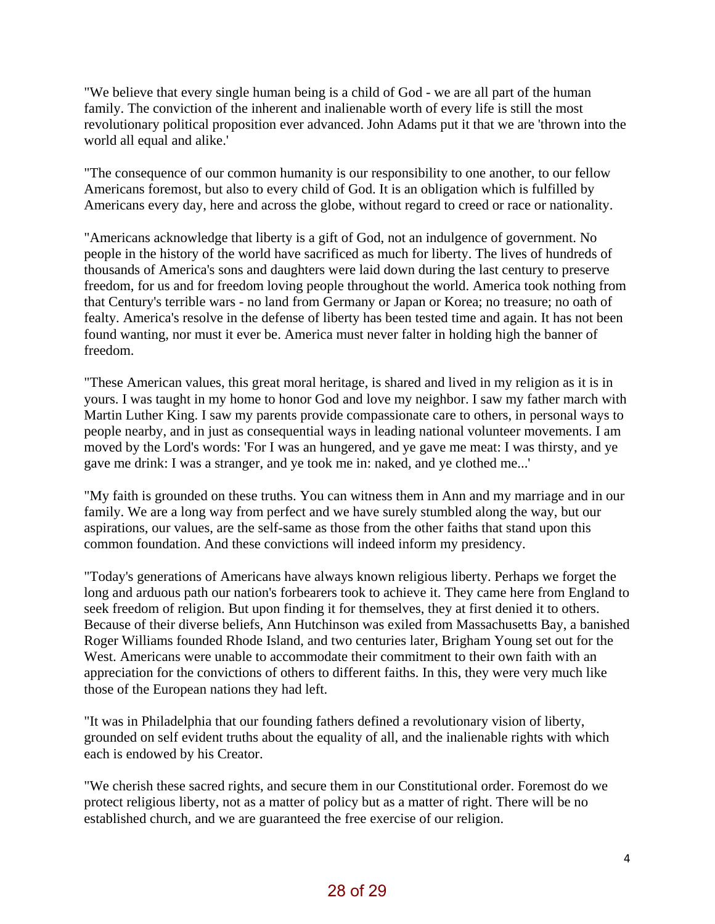"We believe that every single human being is a child of God - we are all part of the human family. The conviction of the inherent and inalienable worth of every life is still the most revolutionary political proposition ever advanced. John Adams put it that we are 'thrown into the world all equal and alike.'

"The consequence of our common humanity is our responsibility to one another, to our fellow Americans foremost, but also to every child of God. It is an obligation which is fulfilled by Americans every day, here and across the globe, without regard to creed or race or nationality.

"Americans acknowledge that liberty is a gift of God, not an indulgence of government. No people in the history of the world have sacrificed as much for liberty. The lives of hundreds of thousands of America's sons and daughters were laid down during the last century to preserve freedom, for us and for freedom loving people throughout the world. America took nothing from that Century's terrible wars - no land from Germany or Japan or Korea; no treasure; no oath of fealty. America's resolve in the defense of liberty has been tested time and again. It has not been found wanting, nor must it ever be. America must never falter in holding high the banner of freedom.

"These American values, this great moral heritage, is shared and lived in my religion as it is in yours. I was taught in my home to honor God and love my neighbor. I saw my father march with Martin Luther King. I saw my parents provide compassionate care to others, in personal ways to people nearby, and in just as consequential ways in leading national volunteer movements. I am moved by the Lord's words: 'For I was an hungered, and ye gave me meat: I was thirsty, and ye gave me drink: I was a stranger, and ye took me in: naked, and ye clothed me...'

"My faith is grounded on these truths. You can witness them in Ann and my marriage and in our family. We are a long way from perfect and we have surely stumbled along the way, but our aspirations, our values, are the self-same as those from the other faiths that stand upon this common foundation. And these convictions will indeed inform my presidency.

"Today's generations of Americans have always known religious liberty. Perhaps we forget the long and arduous path our nation's forbearers took to achieve it. They came here from England to seek freedom of religion. But upon finding it for themselves, they at first denied it to others. Because of their diverse beliefs, Ann Hutchinson was exiled from Massachusetts Bay, a banished Roger Williams founded Rhode Island, and two centuries later, Brigham Young set out for the West. Americans were unable to accommodate their commitment to their own faith with an appreciation for the convictions of others to different faiths. In this, they were very much like those of the European nations they had left.

"It was in Philadelphia that our founding fathers defined a revolutionary vision of liberty, grounded on self evident truths about the equality of all, and the inalienable rights with which each is endowed by his Creator.

"We cherish these sacred rights, and secure them in our Constitutional order. Foremost do we protect religious liberty, not as a matter of policy but as a matter of right. There will be no established church, and we are guaranteed the free exercise of our religion.

### 28 of 29